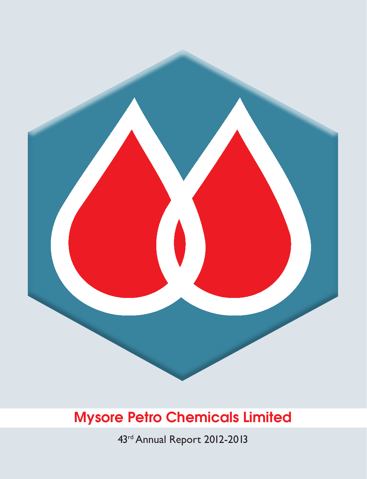

43rd Annual Report 2012-2013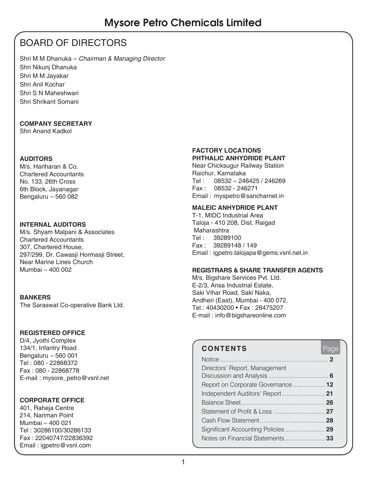### BOARD OF DIRECTORS

Shri M M Dhanuka – *Chairman & Managing Director* Shri Nikunj Dhanuka Shri M M Jayakar Shri Anil Kochar Shri S N Maheshwari Shri Shrikant Somani

#### **COMPANY SECRETARY**

Shri Anand Kadkol

#### **AUDITORS**

M/s. Hariharan & Co. Chartered Accountants No. 133, 26th Cross 6th Block, Jayanagar Bengaluru – 560 082

#### **INTERNAL AUDITORS**

M/s. Shyam Malpani & Associates Chartered Accountants 307, Chartered House, 297/299, Dr. Cawasji Hormasji Street, Near Marine Lines Church Mumbai – 400 002

#### **BANKERS**

The Saraswat Co-operative Bank Ltd.

#### **REGISTERED OFFICE**

D/4, Jyothi Complex 134/1, Infantry Road Bengaluru – 560 001 Tel : 080 - 22868372 Fax : 080 - 22868778 E-mail : mysore\_petro@vsnl.net

#### **CORPORATE OFFICE**

401, Raheja Centre 214, Nariman Point Mumbai – 400 021 Tel : 30286100/30286133 Fax : 22040747/22836392 Email : igpetro@vsnl.com

#### **FACTORY LOCATIONS PHTHALIC ANHYDRIDE PLANT**

Near Chicksugur Railway Station Raichur, Karnataka Tel : 08532 – 246425 / 246269 Fax : 08532 - 246271 Email : myspetro@sancharnet.in

#### **MALEIC ANHYDRIDE PLANT**

T-1, MIDC Industrial Area Taloja - 410 208, Dist. Raigad Maharashtra Tel : 39289100 Fax : 39289148 / 149 Email : igpetro.talojapa@gems.vsnl.net.in

#### **REGISTRARS & SHARE TRANSFER AGENTS**

M/s. Bigshare Services Pvt. Ltd. E-2/3, Ansa Industrial Estate, Saki Vihar Road, Saki Naka, Andheri (East), Mumbai - 400 072. Tel.: 40430200 • Fax : 28475207 E-mail : info@bigshareonline.com

### **CONTENTS** Page Notice ................................................................. **2** Directors' Report, Management Discussion and Analysis .................................... **6** Report on Corporate Governance ................... **12** Independent Auditors' Report.......................... **21** Balance Sheet .................................................. **26** Statement of Profit & Loss ............................... **27** Cash Flow Statement....................................... **28** Significant Accounting Policies ........................ **29** Notes on Financial Statements ........................ **33**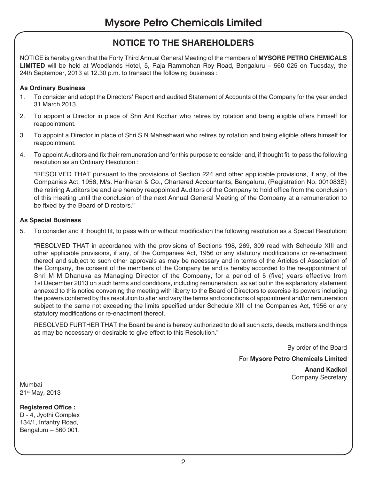### **NOTICE TO THE SHAREHOLDERS**

NOTICE is hereby given that the Forty Third Annual General Meeting of the members of **MYSORE PETRO CHEMICALS LIMITED** will be held at Woodlands Hotel, 5, Raja Rammohan Roy Road, Bengaluru – 560 025 on Tuesday, the 24th September, 2013 at 12.30 p.m. to transact the following business :

#### **As Ordinary Business**

- 1. To consider and adopt the Directors' Report and audited Statement of Accounts of the Company for the year ended 31 March 2013.
- 2. To appoint a Director in place of Shri Anil Kochar who retires by rotation and being eligible offers himself for reappointment.
- 3. To appoint a Director in place of Shri S N Maheshwari who retires by rotation and being eligible offers himself for reappointment.
- 4. To appoint Auditors and fix their remuneration and for this purpose to consider and, if thought fit, to pass the following resolution as an Ordinary Resolution :

"RESOLVED THAT pursuant to the provisions of Section 224 and other applicable provisions, if any, of the Companies Act, 1956, M/s. Hariharan & Co., Chartered Accountants, Bengaluru, (Registration No. 001083S) the retiring Auditors be and are hereby reappointed Auditors of the Company to hold office from the conclusion of this meeting until the conclusion of the next Annual General Meeting of the Company at a remuneration to be fixed by the Board of Directors."

#### **As Special Business**

5. To consider and if thought fit, to pass with or without modification the following resolution as a Special Resolution:

"RESOLVED THAT in accordance with the provisions of Sections 198, 269, 309 read with Schedule XIII and other applicable provisions, if any, of the Companies Act, 1956 or any statutory modifications or re-enactment thereof and subject to such other approvals as may be necessary and in terms of the Articles of Association of the Company, the consent of the members of the Company be and is hereby accorded to the re-appointment of Shri M M Dhanuka as Managing Director of the Company, for a period of 5 (five) years effective from 1st December 2013 on such terms and conditions, including remuneration, as set out in the explanatory statement annexed to this notice convening the meeting with liberty to the Board of Directors to exercise its powers including the powers conferred by this resolution to alter and vary the terms and conditions of appointment and/or remuneration subject to the same not exceeding the limits specified under Schedule XIII of the Companies Act, 1956 or any statutory modifications or re-enactment thereof.

RESOLVED FURTHER THAT the Board be and is hereby authorized to do all such acts, deeds, matters and things as may be necessary or desirable to give effect to this Resolution."

By order of the Board

For **Mysore Petro Chemicals Limited** 

**Anand Kadkol** Company Secretary

Mumbai 21st May, 2013

**Registered Office :** D - 4, Jyothi Complex 134/1, Infantry Road, Bengaluru – 560 001.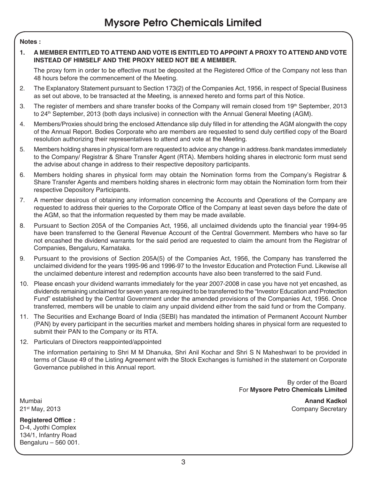**Notes :**

#### **1. A MEMBER ENTITLED TO ATTEND AND VOTE IS ENTITLED TO APPOINT A PROXY TO ATTEND AND VOTE INSTEAD OF HIMSELF AND THE PROXY NEED NOT BE A MEMBER.**

The proxy form in order to be effective must be deposited at the Registered Office of the Company not less than 48 hours before the commencement of the Meeting.

- 2. The Explanatory Statement pursuant to Section 173(2) of the Companies Act, 1956, in respect of Special Business as set out above, to be transacted at the Meeting, is annexed hereto and forms part of this Notice.
- 3. The register of members and share transfer books of the Company will remain closed from 19th September, 2013 to 24<sup>th</sup> September, 2013 (both days inclusive) in connection with the Annual General Meeting (AGM).
- 4. Members/Proxies should bring the enclosed Attendance slip duly filled in for attending the AGM alongwith the copy of the Annual Report. Bodies Corporate who are members are requested to send duly certified copy of the Board resolution authorizing their representatives to attend and vote at the Meeting.
- 5. Members holding shares in physical form are requested to advice any change in address /bank mandates immediately to the Company/ Registrar & Share Transfer Agent (RTA). Members holding shares in electronic form must send the advise about change in address to their respective depository participants.
- 6. Members holding shares in physical form may obtain the Nomination forms from the Company's Registrar & Share Transfer Agents and members holding shares in electronic form may obtain the Nomination form from their respective Depository Participants.
- 7. A member desirous of obtaining any information concerning the Accounts and Operations of the Company are requested to address their queries to the Corporate Office of the Company at least seven days before the date of the AGM, so that the information requested by them may be made available.
- 8. Pursuant to Section 205A of the Companies Act, 1956, all unclaimed dividends upto the financial year 1994-95 have been transferred to the General Revenue Account of the Central Government. Members who have so far not encashed the dividend warrants for the said period are requested to claim the amount from the Registrar of Companies, Bengaluru, Karnataka.
- 9. Pursuant to the provisions of Section 205A(5) of the Companies Act, 1956, the Company has transferred the unclaimed dividend for the years 1995-96 and 1996-97 to the Investor Education and Protection Fund. Likewise all the unclaimed debenture interest and redemption accounts have also been transferred to the said Fund.
- 10. Please encash your dividend warrants immediately for the year 2007-2008 in case you have not yet encashed, as dividends remaining unclaimed for seven years are required to be transferred to the "Investor Education and Protection Fund" established by the Central Government under the amended provisions of the Companies Act, 1956. Once transferred, members will be unable to claim any unpaid dividend either from the said fund or from the Company.
- 11. The Securities and Exchange Board of India (SEBI) has mandated the intimation of Permanent Account Number (PAN) by every participant in the securities market and members holding shares in physical form are requested to submit their PAN to the Company or its RTA.
- 12. Particulars of Directors reappointed/appointed

The information pertaining to Shri M M Dhanuka, Shri Anil Kochar and Shri S N Maheshwari to be provided in terms of Clause 49 of the Listing Agreement with the Stock Exchanges is furnished in the statement on Corporate Governance published in this Annual report.

> By order of the Board For **Mysore Petro Chemicals Limited**

Mumbai **Anand Kadkol** 21st May, 2013 Company Secretary

**Registered Office :** D-4, Jyothi Complex 134/1, Infantry Road Bengaluru – 560 001.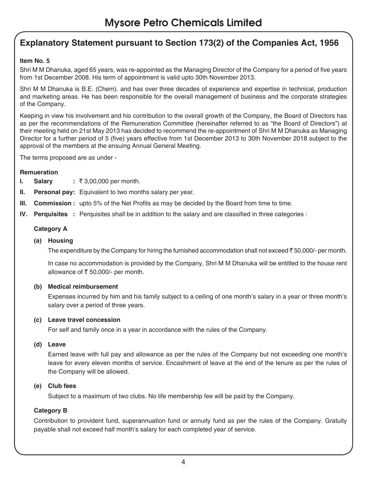### **Explanatory Statement pursuant to Section 173(2) of the Companies Act, 1956**

#### **Item No. 5**

Shri M M Dhanuka, aged 65 years, was re-appointed as the Managing Director of the Company for a period of five years from 1st December 2008. His term of appointment is valid upto 30th November 2013.

Shri M M Dhanuka is B.E. (Chem). and has over three decades of experience and expertise in technical, production and marketing areas. He has been responsible for the overall management of business and the corporate strategies of the Company.

Keeping in view his involvement and his contribution to the overall growth of the Company, the Board of Directors has as per the recommendations of the Remuneration Committee (hereinafter referred to as "the Board of Directors") at their meeting held on 21st May 2013 has decided to recommend the re-appointment of Shri M M Dhanuka as Managing Director for a further period of 5 (five) years effective from 1st December 2013 to 30th November 2018 subject to the approval of the members at the ensuing Annual General Meeting.

The terms proposed are as under -

#### **Remueration**

- **I. Salary :** ₹3,00,000 per month.
- **II. Personal pay:** Equivalent to two months salary per year.
- **III. Commission :** upto 5% of the Net Profits as may be decided by the Board from time to time.
- **IV. Perquisites :** Perquisites shall be in addition to the salary and are classified in three categories :

#### **Category A**

#### **(a) Housing**

The expenditure by the Company for hiring the furnished accommodation shall not exceed  $\bar{\tau}$  50,000/- per month.

In case no accommodation is provided by the Company, Shri M M Dhanuka will be entitled to the house rent allowance of  $\bar{\tau}$  50,000/- per month.

#### **(b) Medical reimbursement**

Expenses incurred by him and his family subject to a ceiling of one month's salary in a year or three month's salary over a period of three years.

#### **(c) Leave travel concession**

For self and family once in a year in accordance with the rules of the Company.

#### **(d) Leave**

Earned leave with full pay and allowance as per the rules of the Company but not exceeding one month's leave for every eleven months of service. Encashment of leave at the end of the tenure as per the rules of the Company will be allowed.

#### **(e) Club fees**

Subject to a maximum of two clubs. No life membership fee will be paid by the Company.

#### **Category B**

Contribution to provident fund, superannuation fund or annuity fund as per the rules of the Company. Gratuity payable shall not exceed half month's salary for each completed year of service.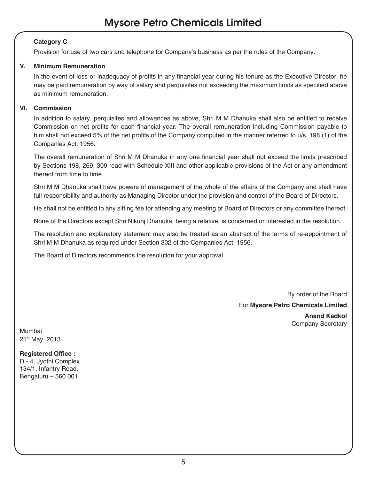#### **Category C**

Provision for use of two cars and telephone for Company's business as per the rules of the Company.

#### **V. Minimum Remuneration**

In the event of loss or inadequacy of profits in any financial year during his tenure as the Executive Director, he may be paid remuneration by way of salary and perquisites not exceeding the maximum limits as specified above as minimum remuneration.

#### **VI. Commission**

In addition to salary, perquisites and allowances as above, Shri M M Dhanuka shall also be entitled to receive Commission on net profits for each financial year. The overall remuneration including Commission payable to him shall not exceed 5% of the net profits of the Company computed in the manner referred to u/s. 198 (1) of the Companies Act, 1956.

The overall remuneration of Shri M M Dhanuka in any one financial year shall not exceed the limits prescribed by Sections 198, 269, 309 read with Schedule XIII and other applicable provisions of the Act or any amendment thereof from time to time.

Shri M M Dhanuka shall have powers of management of the whole of the affairs of the Company and shall have full responsibility and authority as Managing Director under the provision and control of the Board of Directors.

He shall not be entitled to any sitting fee for attending any meeting of Board of Directors or any committee thereof.

None of the Directors except Shri Nikunj Dhanuka, being a relative, is concerned or interested in the resolution.

The resolution and explanatory statement may also be treated as an abstract of the terms of re-appointment of Shri M M Dhanuka as required under Section 302 of the Companies Act, 1956.

The Board of Directors recommends the resolution for your approval.

By order of the Board For **Mysore Petro Chemicals Limited Anand Kadkol** Company Secretary

Mumbai 21st May, 2013

#### **Registered Office :**

D - 4, Jyothi Complex 134/1, Infantry Road, Bengaluru – 560 001.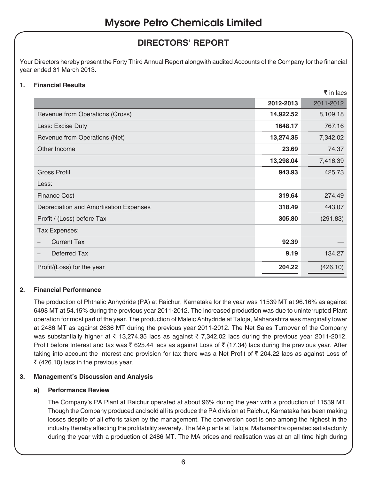### **DIRECTORS' REPORT**

Your Directors hereby present the Forty Third Annual Report alongwith audited Accounts of the Company for the financial year ended 31 March 2013.

#### **1. Financial Results**

|                                        |           | ₹ in lacs |
|----------------------------------------|-----------|-----------|
|                                        | 2012-2013 | 2011-2012 |
| Revenue from Operations (Gross)        | 14,922.52 | 8,109.18  |
| Less: Excise Duty                      | 1648.17   | 767.16    |
| Revenue from Operations (Net)          | 13,274.35 | 7,342.02  |
| Other Income                           | 23.69     | 74.37     |
|                                        | 13,298.04 | 7,416.39  |
| <b>Gross Profit</b>                    | 943.93    | 425.73    |
| Less:                                  |           |           |
| <b>Finance Cost</b>                    | 319.64    | 274.49    |
| Depreciation and Amortisation Expenses | 318.49    | 443.07    |
| Profit / (Loss) before Tax             | 305.80    | (291.83)  |
| Tax Expenses:                          |           |           |
| <b>Current Tax</b>                     | 92.39     |           |
| Deferred Tax                           | 9.19      | 134.27    |
| Profit/(Loss) for the year             | 204.22    | (426.10)  |

#### **2. Financial Performance**

The production of Phthalic Anhydride (PA) at Raichur, Karnataka for the year was 11539 MT at 96.16% as against 6498 MT at 54.15% during the previous year 2011-2012. The increased production was due to uninterrupted Plant operation for most part of the year. The production of Maleic Anhydride at Taloja, Maharashtra was marginally lower at 2486 MT as against 2636 MT during the previous year 2011-2012. The Net Sales Turnover of the Company was substantially higher at  $\bar{\tau}$  13,274.35 lacs as against  $\bar{\tau}$  7,342.02 lacs during the previous year 2011-2012. Profit before Interest and tax was  $\bar{\tau}$  625.44 lacs as against Loss of  $\bar{\tau}$  (17.34) lacs during the previous year. After taking into account the Interest and provision for tax there was a Net Profit of  $\bar{z}$  204.22 lacs as against Loss of  $\bar{\tau}$  (426.10) lacs in the previous year.

#### **3. Management's Discussion and Analysis**

#### **a) Performance Review**

The Company's PA Plant at Raichur operated at about 96% during the year with a production of 11539 MT. Though the Company produced and sold all its produce the PA division at Raichur, Karnataka has been making losses despite of all efforts taken by the management. The conversion cost is one among the highest in the industry thereby affecting the profitability severely. The MA plants at Taloja, Maharashtra operated satisfactorily during the year with a production of 2486 MT. The MA prices and realisation was at an all time high during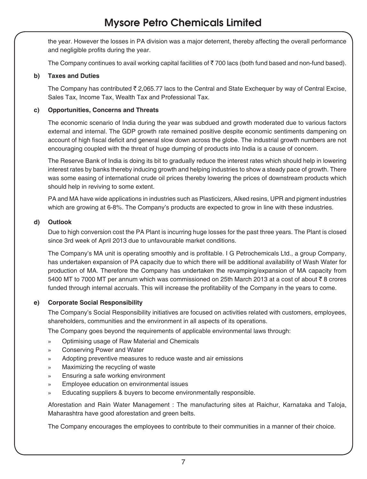the year. However the losses in PA division was a major deterrent, thereby affecting the overall performance and negligible profits during the year.

The Company continues to avail working capital facilities of  $\bar{\tau}$  700 lacs (both fund based and non-fund based).

#### **b) Taxes and Duties**

The Company has contributed  $\bar{\tau}$  2,065.77 lacs to the Central and State Exchequer by way of Central Excise, Sales Tax, Income Tax, Wealth Tax and Professional Tax.

#### **c) Opportunities, Concerns and Threats**

The economic scenario of India during the year was subdued and growth moderated due to various factors external and internal. The GDP growth rate remained positive despite economic sentiments dampening on account of high fiscal deficit and general slow down across the globe. The industrial growth numbers are not encouraging coupled with the threat of huge dumping of products into India is a cause of concern.

The Reserve Bank of India is doing its bit to gradually reduce the interest rates which should help in lowering interest rates by banks thereby inducing growth and helping industries to show a steady pace of growth. There was some easing of international crude oil prices thereby lowering the prices of downstream products which should help in reviving to some extent.

PA and MA have wide applications in industries such as Plasticizers, Alked resins, UPR and pigment industries which are growing at 6-8%. The Company's products are expected to grow in line with these industries.

#### **d) Outlook**

Due to high conversion cost the PA Plant is incurring huge losses for the past three years. The Plant is closed since 3rd week of April 2013 due to unfavourable market conditions.

The Company's MA unit is operating smoothly and is profitable. I G Petrochemicals Ltd., a group Company, has undertaken expansion of PA capacity due to which there will be additional availability of Wash Water for production of MA. Therefore the Company has undertaken the revamping/expansion of MA capacity from 5400 MT to 7000 MT per annum which was commissioned on 25th March 2013 at a cost of about  $\bar{\tau}$  8 crores funded through internal accruals. This will increase the profitability of the Company in the years to come.

#### **e) Corporate Social Responsibility**

The Company's Social Responsibility initiatives are focused on activities related with customers, employees, shareholders, communities and the environment in all aspects of its operations.

The Company goes beyond the requirements of applicable environmental laws through:

- » Optimising usage of Raw Material and Chemicals
- » Conserving Power and Water
- » Adopting preventive measures to reduce waste and air emissions
- » Maximizing the recycling of waste
- » Ensuring a safe working environment
- » Employee education on environmental issues
- » Educating suppliers & buyers to become environmentally responsible.

Aforestation and Rain Water Management : The manufacturing sites at Raichur, Karnataka and Taloja, Maharashtra have good aforestation and green belts.

The Company encourages the employees to contribute to their communities in a manner of their choice.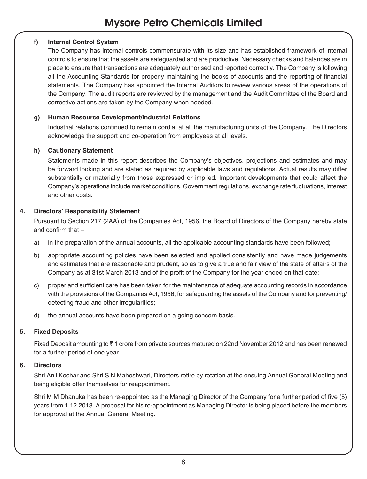#### **f) Internal Control System**

The Company has internal controls commensurate with its size and has established framework of internal controls to ensure that the assets are safeguarded and are productive. Necessary checks and balances are in place to ensure that transactions are adequately authorised and reported correctly. The Company is following all the Accounting Standards for properly maintaining the books of accounts and the reporting of financial statements. The Company has appointed the Internal Auditors to review various areas of the operations of the Company. The audit reports are reviewed by the management and the Audit Committee of the Board and corrective actions are taken by the Company when needed.

#### **g) Human Resource Development/Industrial Relations**

Industrial relations continued to remain cordial at all the manufacturing units of the Company. The Directors acknowledge the support and co-operation from employees at all levels.

#### **h) Cautionary Statement**

Statements made in this report describes the Company's objectives, projections and estimates and may be forward looking and are stated as required by applicable laws and regulations. Actual results may differ substantially or materially from those expressed or implied. Important developments that could affect the Company's operations include market conditions, Government regulations, exchange rate fluctuations, interest and other costs.

#### **4. Directors' Responsibility Statement**

Pursuant to Section 217 (2AA) of the Companies Act, 1956, the Board of Directors of the Company hereby state and confirm that –

- a) in the preparation of the annual accounts, all the applicable accounting standards have been followed;
- b) appropriate accounting policies have been selected and applied consistently and have made judgements and estimates that are reasonable and prudent, so as to give a true and fair view of the state of affairs of the Company as at 31st March 2013 and of the profit of the Company for the year ended on that date;
- c) proper and sufficient care has been taken for the maintenance of adequate accounting records in accordance with the provisions of the Companies Act, 1956, for safeguarding the assets of the Company and for preventing/ detecting fraud and other irregularities;
- d) the annual accounts have been prepared on a going concern basis.

#### **5. Fixed Deposits**

Fixed Deposit amounting to  $\bar{\zeta}$  1 crore from private sources matured on 22nd November 2012 and has been renewed for a further period of one year.

#### **6. Directors**

Shri Anil Kochar and Shri S N Maheshwari, Directors retire by rotation at the ensuing Annual General Meeting and being eligible offer themselves for reappointment.

Shri M M Dhanuka has been re-appointed as the Managing Director of the Company for a further period of five (5) years from 1.12.2013. A proposal for his re-appointment as Managing Director is being placed before the members for approval at the Annual General Meeting.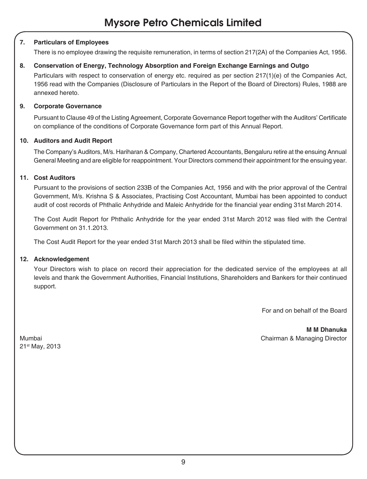#### **7. Particulars of Employees**

There is no employee drawing the requisite remuneration, in terms of section 217(2A) of the Companies Act, 1956.

#### **8. Conservation of Energy, Technology Absorption and Foreign Exchange Earnings and Outgo**

Particulars with respect to conservation of energy etc. required as per section 217(1)(e) of the Companies Act, 1956 read with the Companies (Disclosure of Particulars in the Report of the Board of Directors) Rules, 1988 are annexed hereto.

#### **9. Corporate Governance**

Pursuant to Clause 49 of the Listing Agreement, Corporate Governance Report together with the Auditors' Certificate on compliance of the conditions of Corporate Governance form part of this Annual Report.

#### **10. Auditors and Audit Report**

The Company's Auditors, M/s. Hariharan & Company, Chartered Accountants, Bengaluru retire at the ensuing Annual General Meeting and are eligible for reappointment. Your Directors commend their appointment for the ensuing year.

#### **11. Cost Auditors**

Pursuant to the provisions of section 233B of the Companies Act, 1956 and with the prior approval of the Central Government, M/s. Krishna S & Associates, Practising Cost Accountant, Mumbai has been appointed to conduct audit of cost records of Phthalic Anhydride and Maleic Anhydride for the financial year ending 31st March 2014.

The Cost Audit Report for Phthalic Anhydride for the year ended 31st March 2012 was filed with the Central Government on 31.1.2013.

The Cost Audit Report for the year ended 31st March 2013 shall be filed within the stipulated time.

#### **12. Acknowledgement**

Your Directors wish to place on record their appreciation for the dedicated service of the employees at all levels and thank the Government Authorities, Financial Institutions, Shareholders and Bankers for their continued support.

For and on behalf of the Board

**M M Dhanuka** Mumbai Chairman & Managing Director

21st May, 2013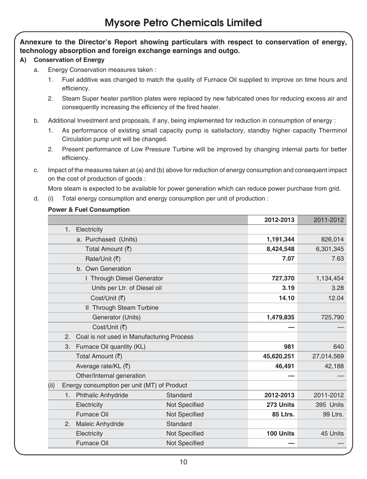#### **Annexure to the Director's Report showing particulars with respect to conservation of energy, technology absorption and foreign exchange earnings and outgo.**

#### **A) Conservation of Energy**

- a. Energy Conservation measures taken :
	- 1. Fuel additive was changed to match the quality of Furnace Oil supplied to improve on time hours and efficiency.
	- 2. Steam Super heater partition plates were replaced by new fabricated ones for reducing excess air and consequently increasing the efficiency of the fired heater.
- b. Additional Investment and proposals, if any, being implemented for reduction in consumption of energy :
	- 1. As performance of existing small capacity pump is satisfactory, standby higher capacity Therminol Circulation pump unit will be changed.
	- 2. Present performance of Low Pressure Turbine will be improved by changing internal parts for better efficiency.
- c. Impact of the measures taken at (a) and (b) above for reduction of energy consumption and consequent impact on the cost of production of goods :

More steam is expected to be available for power generation which can reduce power purchase from grid.

d. (i) Total energy consumption and energy consumption per unit of production :

#### **Power & Fuel Consumption**

|      |                                             |                      | 2012-2013  | 2011-2012 |
|------|---------------------------------------------|----------------------|------------|-----------|
| 1.   | Electricity                                 |                      |            |           |
|      | a. Purchased (Units)                        |                      | 1,191,344  | 826,014   |
|      | Total Amount (₹)                            |                      | 8,424,548  | 6,301,345 |
|      | Rate/Unit (₹)                               |                      | 7.07       | 7.63      |
|      | b. Own Generation                           |                      |            |           |
|      | I Through Diesel Generator                  |                      | 727,370    | 1,134,454 |
|      | Units per Ltr. of Diesel oil                |                      | 3.19       | 3.28      |
|      | Cost/Unit (そ)                               |                      | 14.10      | 12.04     |
|      | II Through Steam Turbine                    |                      |            |           |
|      | Generator (Units)                           | 1,479,835            | 725,790    |           |
|      | Cost/Unit (そ)                               |                      |            |           |
| 2.   | Coal is not used in Manufacturing Process   |                      |            |           |
| 3.   | Furnace Oil quantity (KL)                   | 981                  | 640        |           |
|      | Total Amount (₹)                            | 45,620,251           | 27,014,569 |           |
|      | Average rate/KL (₹)                         | 46,491               | 42,188     |           |
|      | Other/Internal generation                   |                      |            |           |
| (ii) | Energy consumption per unit (MT) of Product |                      |            |           |
| 1.   | <b>Phthalic Anhydride</b>                   | Standard             | 2012-2013  | 2011-2012 |
|      | Electricity                                 | <b>Not Specified</b> | 273 Units  | 395 Units |
|      | <b>Furnace Oil</b>                          | <b>Not Specified</b> | 85 Ltrs.   | 99 Ltrs.  |
| 2.   | Maleic Anhydride                            | Standard             |            |           |
|      | Electricity                                 | <b>Not Specified</b> | 100 Units  | 45 Units  |
|      | <b>Furnace Oil</b>                          | <b>Not Specified</b> |            |           |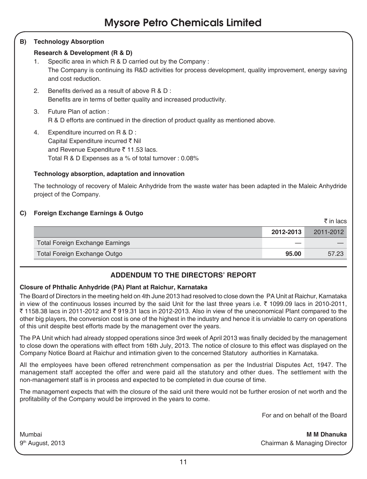#### **B) Technology Absorption**

#### **Research & Development (R & D)**

- 1. Specific area in which R & D carried out by the Company : The Company is continuing its R&D activities for process development, quality improvement, energy saving and cost reduction.
- 2. Benefits derived as a result of above R & D : Benefits are in terms of better quality and increased productivity.
- 3. Future Plan of action : R & D efforts are continued in the direction of product quality as mentioned above.
- 4. Expenditure incurred on R & D : Capital Expenditure incurred ₹ Nil and Revenue Expenditure  $\bar{\tau}$  11.53 lacs. Total R & D Expenses as a % of total turnover : 0.08%

#### **Technology absorption, adaptation and innovation**

The technology of recovery of Maleic Anhydride from the waste water has been adapted in the Maleic Anhydride project of the Company.

#### **C) Foreign Exchange Earnings & Outgo**

|                                 |           | , ,,,,,,,,, |
|---------------------------------|-----------|-------------|
|                                 | 2012-2013 | 2011-2012   |
| Total Foreign Exchange Earnings |           |             |
| Total Foreign Exchange Outgo    | 95.00     | 57.23       |

#### **ADDENDUM TO THE DIRECTORS' REPORT**

#### **Closure of Phthalic Anhydride (PA) Plant at Raichur, Karnataka**

The Board of Directors in the meeting held on 4th June 2013 had resolved to close down the PA Unit at Raichur, Karnataka in view of the continuous losses incurred by the said Unit for the last three years i.e.  $\bar{\tau}$  1099.09 lacs in 2010-2011, ₹ 1158.38 lacs in 2011-2012 and ₹ 919.31 lacs in 2012-2013. Also in view of the uneconomical Plant compared to the other big players, the conversion cost is one of the highest in the industry and hence it is unviable to carry on operations of this unit despite best efforts made by the management over the years.

The PA Unit which had already stopped operations since 3rd week of April 2013 was finally decided by the management to close down the operations with effect from 16th July, 2013. The notice of closure to this effect was displayed on the Company Notice Board at Raichur and intimation given to the concerned Statutory authorities in Karnataka.

All the employees have been offered retrenchment compensation as per the Industrial Disputes Act, 1947. The management staff accepted the offer and were paid all the statutory and other dues. The settlement with the non-management staff is in process and expected to be completed in due course of time.

The management expects that with the closure of the said unit there would not be further erosion of net worth and the profitability of the Company would be improved in the years to come.

For and on behalf of the Board

 $\bar{\tau}$  in lace

Mumbai **M M Dhanuka** 9th August, 2013 Chairman & Managing Director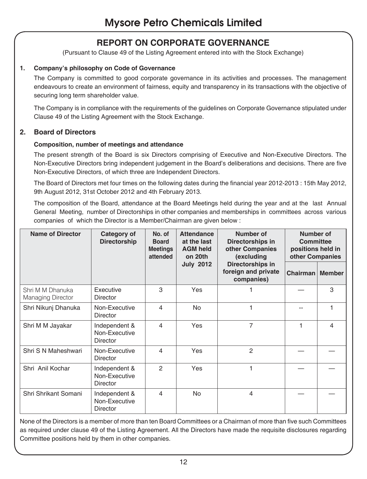### **REPORT ON CORPORATE GOVERNANCE**

(Pursuant to Clause 49 of the Listing Agreement entered into with the Stock Exchange)

#### **1. Company's philosophy on Code of Governance**

The Company is committed to good corporate governance in its activities and processes. The management endeavours to create an environment of fairness, equity and transparency in its transactions with the objective of securing long term shareholder value.

The Company is in compliance with the requirements of the guidelines on Corporate Governance stipulated under Clause 49 of the Listing Agreement with the Stock Exchange.

#### **2. Board of Directors**

#### **Composition, number of meetings and attendance**

The present strength of the Board is six Directors comprising of Executive and Non-Executive Directors. The Non-Executive Directors bring independent judgement in the Board's deliberations and decisions. There are five Non-Executive Directors, of which three are Independent Directors.

The Board of Directors met four times on the following dates during the financial year 2012-2013 : 15th May 2012, 9th August 2012, 31st October 2012 and 4th February 2013.

The composition of the Board, attendance at the Board Meetings held during the year and at the last Annual General Meeting, number of Directorships in other companies and memberships in committees across various companies of which the Director is a Member/Chairman are given below :

| <b>Name of Director</b>               | Category of<br>Directorship                       | No. of<br><b>Board</b><br><b>Meetings</b><br>attended | Attendance<br>at the last<br><b>AGM held</b><br>on 20th | Number of<br>Directorships in<br>other Companies<br>(excluding | Number of<br>Committee<br>positions held in<br>other Companies |   |
|---------------------------------------|---------------------------------------------------|-------------------------------------------------------|---------------------------------------------------------|----------------------------------------------------------------|----------------------------------------------------------------|---|
|                                       |                                                   | <b>July 2012</b>                                      |                                                         | Directorships in<br>foreign and private<br>companies)          | Chairman   Member                                              |   |
| Shri M M Dhanuka<br>Managing Director | Executive<br>Director                             | 3                                                     | Yes                                                     | 1                                                              |                                                                | 3 |
| Shri Nikunj Dhanuka                   | Non-Executive<br>Director                         | 4                                                     | <b>No</b>                                               | 1                                                              |                                                                | 1 |
| Shri M M Jayakar                      | Independent &<br>Non-Executive<br>Director        | 4                                                     | Yes                                                     | 7                                                              | 1                                                              | 4 |
| Shri S N Maheshwari                   | Non-Executive<br>Director                         | 4                                                     | Yes                                                     | $\overline{2}$                                                 |                                                                |   |
| Shri Anil Kochar                      | Independent &<br>Non-Executive<br>Director        | $\mathcal{P}$                                         | Yes                                                     | 1                                                              |                                                                |   |
| Shri Shrikant Somani                  | Independent &<br>Non-Executive<br><b>Director</b> | 4                                                     | <b>No</b>                                               | 4                                                              |                                                                |   |

None of the Directors is a member of more than ten Board Committees or a Chairman of more than five such Committees as required under clause 49 of the Listing Agreement. All the Directors have made the requisite disclosures regarding Committee positions held by them in other companies.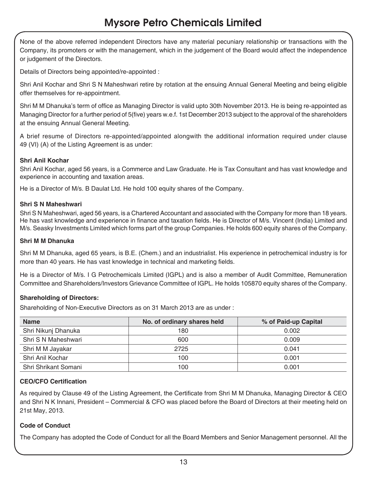None of the above referred independent Directors have any material pecuniary relationship or transactions with the Company, its promoters or with the management, which in the judgement of the Board would affect the independence or judgement of the Directors.

Details of Directors being appointed/re-appointed :

Shri Anil Kochar and Shri S N Maheshwari retire by rotation at the ensuing Annual General Meeting and being eligible offer themselves for re-appointment.

Shri M M Dhanuka's term of office as Managing Director is valid upto 30th November 2013. He is being re-appointed as Managing Director for a further period of 5(five) years w.e.f. 1st December 2013 subject to the approval of the shareholders at the ensuing Annual General Meeting.

A brief resume of Directors re-appointed/appointed alongwith the additional information required under clause 49 (VI) (A) of the Listing Agreement is as under:

#### **Shri Anil Kochar**

Shri Anil Kochar, aged 56 years, is a Commerce and Law Graduate. He is Tax Consultant and has vast knowledge and experience in accounting and taxation areas.

He is a Director of M/s. B Daulat Ltd. He hold 100 equity shares of the Company.

#### **Shri S N Maheshwari**

Shri S N Maheshwari, aged 56 years, is a Chartered Accountant and associated with the Company for more than 18 years. He has vast knowledge and experience in finance and taxation fields. He is Director of M/s. Vincent (India) Limited and M/s. Seasky Investments Limited which forms part of the group Companies. He holds 600 equity shares of the Company.

#### **Shri M M Dhanuka**

Shri M M Dhanuka, aged 65 years, is B.E. (Chem.) and an industrialist. His experience in petrochemical industry is for more than 40 years. He has vast knowledge in technical and marketing fields.

He is a Director of M/s. I G Petrochemicals Limited (IGPL) and is also a member of Audit Committee, Remuneration Committee and Shareholders/Investors Grievance Committee of IGPL. He holds 105870 equity shares of the Company.

#### **Shareholding of Directors:**

Shareholding of Non-Executive Directors as on 31 March 2013 are as under :

| <b>Name</b>          | No. of ordinary shares held | % of Paid-up Capital |
|----------------------|-----------------------------|----------------------|
| Shri Nikunj Dhanuka  | 180                         | 0.002                |
| Shri S N Maheshwari  | 600                         | 0.009                |
| Shri M M Jayakar     | 2725                        | 0.041                |
| Shri Anil Kochar     | 100                         | 0.001                |
| Shri Shrikant Somani | 100                         | 0.001                |

#### **CEO/CFO Certification**

As required by Clause 49 of the Listing Agreement, the Certificate from Shri M M Dhanuka, Managing Director & CEO and Shri N K Innani, President – Commercial & CFO was placed before the Board of Directors at their meeting held on 21st May, 2013.

#### **Code of Conduct**

The Company has adopted the Code of Conduct for all the Board Members and Senior Management personnel. All the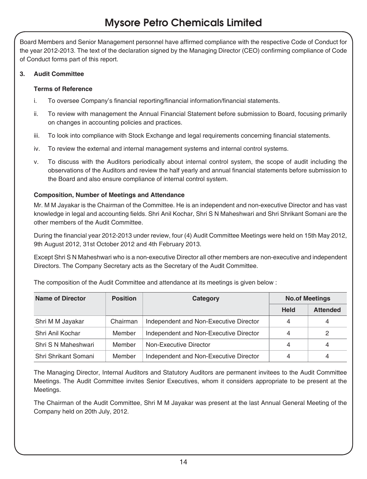Board Members and Senior Management personnel have affirmed compliance with the respective Code of Conduct for the year 2012-2013. The text of the declaration signed by the Managing Director (CEO) confirming compliance of Code of Conduct forms part of this report.

#### **3. Audit Committee**

#### **Terms of Reference**

- i. To oversee Company's financial reporting/financial information/financial statements.
- ii. To review with management the Annual Financial Statement before submission to Board, focusing primarily on changes in accounting policies and practices.
- iii. To look into compliance with Stock Exchange and legal requirements concerning financial statements.
- iv. To review the external and internal management systems and internal control systems.
- v. To discuss with the Auditors periodically about internal control system, the scope of audit including the observations of the Auditors and review the half yearly and annual financial statements before submission to the Board and also ensure compliance of internal control system.

#### **Composition, Number of Meetings and Attendance**

Mr. M M Jayakar is the Chairman of the Committee. He is an independent and non-executive Director and has vast knowledge in legal and accounting fields. Shri Anil Kochar, Shri S N Maheshwari and Shri Shrikant Somani are the other members of the Audit Committee.

During the financial year 2012-2013 under review, four (4) Audit Committee Meetings were held on 15th May 2012, 9th August 2012, 31st October 2012 and 4th February 2013.

Except Shri S N Maheshwari who is a non-executive Director all other members are non-executive and independent Directors. The Company Secretary acts as the Secretary of the Audit Committee.

| Name of Director     | <b>Position</b> | Category                               | <b>No.of Meetings</b> |                 |  |
|----------------------|-----------------|----------------------------------------|-----------------------|-----------------|--|
|                      |                 |                                        | <b>Held</b>           | <b>Attended</b> |  |
| Shri M M Jayakar     | Chairman        | Independent and Non-Executive Director | 4                     | 4               |  |
| Shri Anil Kochar     | Member          | Independent and Non-Executive Director | 4                     | 2               |  |
| Shri S N Maheshwari  | Member          | Non-Executive Director                 | 4                     | 4               |  |
| Shri Shrikant Somani | Member          | Independent and Non-Executive Director | 4                     | 4               |  |

The composition of the Audit Committee and attendance at its meetings is given below :

The Managing Director, Internal Auditors and Statutory Auditors are permanent invitees to the Audit Committee Meetings. The Audit Committee invites Senior Executives, whom it considers appropriate to be present at the Meetings.

The Chairman of the Audit Committee, Shri M M Jayakar was present at the last Annual General Meeting of the Company held on 20th July, 2012.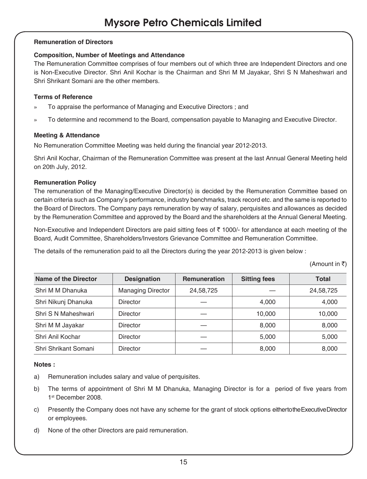#### **Remuneration of Directors**

#### **Composition, Number of Meetings and Attendance**

The Remuneration Committee comprises of four members out of which three are Independent Directors and one is Non-Executive Director. Shri Anil Kochar is the Chairman and Shri M M Jayakar, Shri S N Maheshwari and Shri Shrikant Somani are the other members.

#### **Terms of Reference**

- » To appraise the performance of Managing and Executive Directors ; and
- » To determine and recommend to the Board, compensation payable to Managing and Executive Director.

#### **Meeting & Attendance**

No Remuneration Committee Meeting was held during the financial year 2012-2013.

Shri Anil Kochar, Chairman of the Remuneration Committee was present at the last Annual General Meeting held on 20th July, 2012.

#### **Remuneration Policy**

The remuneration of the Managing/Executive Director(s) is decided by the Remuneration Committee based on certain criteria such as Company's performance, industry benchmarks, track record etc. and the same is reported to the Board of Directors. The Company pays remuneration by way of salary, perquisites and allowances as decided by the Remuneration Committee and approved by the Board and the shareholders at the Annual General Meeting.

Non-Executive and Independent Directors are paid sitting fees of  $\bar{\tau}$  1000/- for attendance at each meeting of the Board, Audit Committee, Shareholders/Investors Grievance Committee and Remuneration Committee.

The details of the remuneration paid to all the Directors during the year 2012-2013 is given below :

(Amount in  $\bar{z}$ )

| Name of the Director | <b>Designation</b>       | <b>Remuneration</b> | <b>Sitting fees</b> | Total     |
|----------------------|--------------------------|---------------------|---------------------|-----------|
| Shri M M Dhanuka     | <b>Managing Director</b> | 24,58,725           |                     | 24,58,725 |
| Shri Nikunj Dhanuka  | Director                 |                     | 4,000               | 4.000     |
| Shri S N Maheshwari  | Director                 |                     | 10,000              | 10.000    |
| Shri M M Jayakar     | Director                 |                     | 8,000               | 8.000     |
| Shri Anil Kochar     | Director                 |                     | 5,000               | 5,000     |
| Shri Shrikant Somani | Director                 |                     | 8,000               | 8.000     |

#### **Notes :**

- a) Remuneration includes salary and value of perquisites.
- b) The terms of appointment of Shri M M Dhanuka, Managing Director is for a period of five years from 1st December 2008.
- c) Presently the Company does not have any scheme for the grant of stock options eithertothe Executive Director or employees.
- d) None of the other Directors are paid remuneration.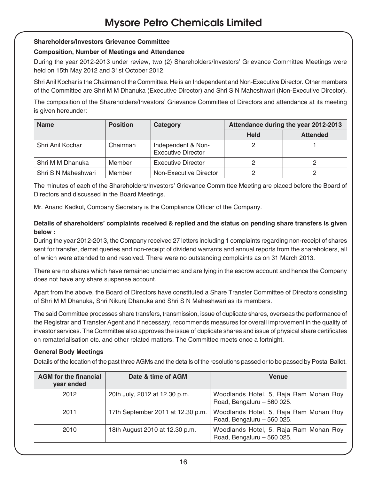#### **Shareholders/Investors Grievance Committee**

#### **Composition, Number of Meetings and Attendance**

During the year 2012-2013 under review, two (2) Shareholders/Investors' Grievance Committee Meetings were held on 15th May 2012 and 31st October 2012.

Shri Anil Kochar is the Chairman of the Committee. He is an Independent and Non-Executive Director. Other members of the Committee are Shri M M Dhanuka (Executive Director) and Shri S N Maheshwari (Non-Executive Director).

The composition of the Shareholders/Investors' Grievance Committee of Directors and attendance at its meeting is given hereunder:

| <b>Name</b>         | <b>Position</b> | Category                                        | Attendance during the year 2012-2013 |                 |
|---------------------|-----------------|-------------------------------------------------|--------------------------------------|-----------------|
|                     |                 |                                                 | <b>Held</b>                          | <b>Attended</b> |
| Shri Anil Kochar    | Chairman        | Independent & Non-<br><b>Executive Director</b> |                                      |                 |
| Shri M M Dhanuka    | Member          | <b>Executive Director</b>                       |                                      |                 |
| Shri S N Maheshwari | Member          | Non-Executive Director                          |                                      |                 |

The minutes of each of the Shareholders/Investors' Grievance Committee Meeting are placed before the Board of Directors and discussed in the Board Meetings.

Mr. Anand Kadkol, Company Secretary is the Compliance Officer of the Company.

#### **Details of shareholders' complaints received & replied and the status on pending share transfers is given below :**

During the year 2012-2013, the Company received 27 letters including 1 complaints regarding non-receipt of shares sent for transfer, demat queries and non-receipt of dividend warrants and annual reports from the shareholders, all of which were attended to and resolved. There were no outstanding complaints as on 31 March 2013.

There are no shares which have remained unclaimed and are lying in the escrow account and hence the Company does not have any share suspense account.

Apart from the above, the Board of Directors have constituted a Share Transfer Committee of Directors consisting of Shri M M Dhanuka, Shri Nikunj Dhanuka and Shri S N Maheshwari as its members.

The said Committee processes share transfers, transmission, issue of duplicate shares, overseas the performance of the Registrar and Transfer Agent and if necessary, recommends measures for overall improvement in the quality of investor services. The Committee also approves the issue of duplicate shares and issue of physical share certificates on rematerialisation etc. and other related matters. The Committee meets once a fortnight.

#### **General Body Meetings**

Details of the location of the past three AGMs and the details of the resolutions passed or to be passed by Postal Ballot.

| <b>AGM</b> for the financial<br>year ended | Date & time of AGM                | Venue                                                                |
|--------------------------------------------|-----------------------------------|----------------------------------------------------------------------|
| 2012                                       | 20th July, 2012 at 12.30 p.m.     | Woodlands Hotel, 5, Raja Ram Mohan Roy<br>Road, Bengaluru - 560 025. |
| 2011                                       | 17th September 2011 at 12.30 p.m. | Woodlands Hotel, 5, Raja Ram Mohan Roy<br>Road, Bengaluru - 560 025. |
| 2010                                       | 18th August 2010 at 12.30 p.m.    | Woodlands Hotel, 5, Raja Ram Mohan Roy<br>Road, Bengaluru - 560 025. |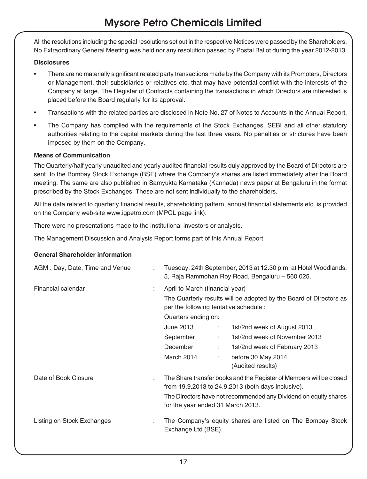All the resolutions including the special resolutions set out in the respective Notices were passed by the Shareholders. No Extraordinary General Meeting was held nor any resolution passed by Postal Ballot during the year 2012-2013.

#### **Disclosures**

- There are no materially significant related party transactions made by the Company with its Promoters, Directors or Management, their subsidiaries or relatives etc. that may have potential conflict with the interests of the Company at large. The Register of Contracts containing the transactions in which Directors are interested is placed before the Board regularly for its approval.
- Transactions with the related parties are disclosed in Note No. 27 of Notes to Accounts in the Annual Report.
- The Company has complied with the requirements of the Stock Exchanges, SEBI and all other statutory authorities relating to the capital markets during the last three years. No penalties or strictures have been imposed by them on the Company.

#### **Means of Communication**

The Quarterly/half yearly unaudited and yearly audited financial results duly approved by the Board of Directors are sent to the Bombay Stock Exchange (BSE) where the Company's shares are listed immediately after the Board meeting. The same are also published in Samyukta Karnataka (Kannada) news paper at Bengaluru in the format prescribed by the Stock Exchanges. These are not sent individually to the shareholders.

All the data related to quarterly financial results, shareholding pattern, annual financial statements etc. is provided on the Company web-site www.igpetro.com (MPCL page link).

There were no presentations made to the institutional investors or analysts.

The Management Discussion and Analysis Report forms part of this Annual Report.

#### **General Shareholder information**

| AGM: Day, Date, Time and Venue | ÷ | Tuesday, 24th September, 2013 at 12.30 p.m. at Hotel Woodlands,<br>5, Raja Rammohan Roy Road, Bengaluru - 560 025.                                                                                                                 |
|--------------------------------|---|------------------------------------------------------------------------------------------------------------------------------------------------------------------------------------------------------------------------------------|
| Financial calendar             | ÷ | April to March (financial year)<br>The Quarterly results will be adopted by the Board of Directors as<br>per the following tentative schedule :                                                                                    |
|                                |   | Quarters ending on:<br>June 2013<br>1st/2nd week of August 2013<br>÷<br>1st/2nd week of November 2013<br>September<br>December<br>1st/2nd week of February 2013<br>÷<br>March 2014<br>before 30 May 2014<br>÷<br>(Audited results) |
| Date of Book Closure           | ÷ | The Share transfer books and the Register of Members will be closed<br>from 19.9.2013 to 24.9.2013 (both days inclusive).<br>The Directors have not recommended any Dividend on equity shares<br>for the year ended 31 March 2013. |
| Listing on Stock Exchanges     | ÷ | The Company's equity shares are listed on The Bombay Stock<br>Exchange Ltd (BSE).                                                                                                                                                  |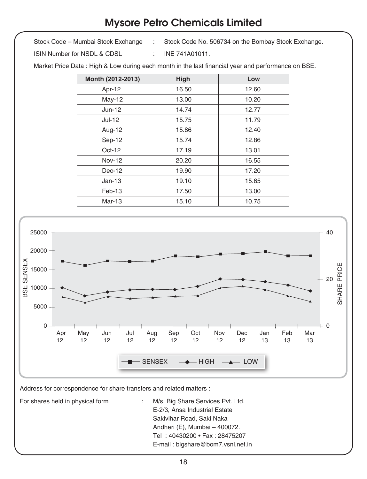Stock Code – Mumbai Stock Exchange : Stock Code No. 506734 on the Bombay Stock Exchange.

ISIN Number for NSDL & CDSL : INE 741A01011.

Market Price Data : High & Low during each month in the last financial year and performance on BSE.

| Month (2012-2013) | High  | Low   |
|-------------------|-------|-------|
| Apr-12            | 16.50 | 12.60 |
| $May-12$          | 13.00 | 10.20 |
| $Jun-12$          | 14.74 | 12.77 |
| Jul-12            | 15.75 | 11.79 |
| Aug-12            | 15.86 | 12.40 |
| Sep-12            | 15.74 | 12.86 |
| $Oct-12$          | 17.19 | 13.01 |
| <b>Nov-12</b>     | 20.20 | 16.55 |
| Dec-12            | 19.90 | 17.20 |
| $Jan-13$          | 19.10 | 15.65 |
| $Feb-13$          | 17.50 | 13.00 |
| $Mar-13$          | 15.10 | 10.75 |



Address for correspondence for share transfers and related matters :

For shares held in physical form : M/s. Big Share Services Pvt. Ltd.

E-2/3, Ansa Industrial Estate Sakivihar Road, Saki Naka Andheri (E), Mumbai – 400072. Tel : 40430200 • Fax : 28475207 E-mail : bigshare@bom7.vsnl.net.in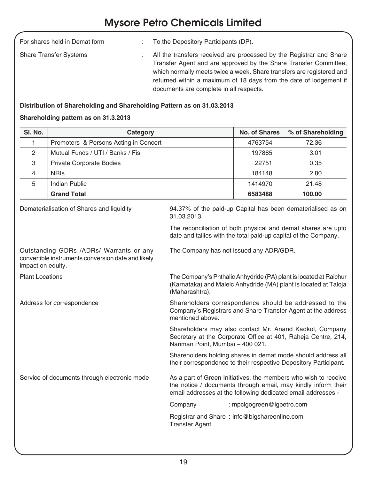| For shares held in Demat form | To the Depository Participants (DP).                                                                                                                                                                                                                                                                                              |
|-------------------------------|-----------------------------------------------------------------------------------------------------------------------------------------------------------------------------------------------------------------------------------------------------------------------------------------------------------------------------------|
| <b>Share Transfer Systems</b> | All the transfers received are processed by the Registrar and Share<br>Transfer Agent and are approved by the Share Transfer Committee.<br>which normally meets twice a week. Share transfers are registered and<br>returned within a maximum of 18 days from the date of lodgement if<br>documents are complete in all respects. |

#### **Distribution of Shareholding and Shareholding Pattern as on 31.03.2013**

#### **Shareholding pattern as on 31.3.2013**

| SI. No.                                                                                                                                                                           | <b>No. of Shares</b><br>% of Shareholding<br>Category                                         |                                                                                                                                                                                                  |                           |        |  |
|-----------------------------------------------------------------------------------------------------------------------------------------------------------------------------------|-----------------------------------------------------------------------------------------------|--------------------------------------------------------------------------------------------------------------------------------------------------------------------------------------------------|---------------------------|--------|--|
| 1                                                                                                                                                                                 | Promoters & Persons Acting in Concert                                                         |                                                                                                                                                                                                  | 4763754                   | 72.36  |  |
| 2                                                                                                                                                                                 | Mutual Funds / UTI / Banks / Fis                                                              |                                                                                                                                                                                                  | 197865                    | 3.01   |  |
| 3                                                                                                                                                                                 | <b>Private Corporate Bodies</b>                                                               |                                                                                                                                                                                                  | 22751                     | 0.35   |  |
| $\overline{4}$                                                                                                                                                                    | <b>NRIs</b>                                                                                   |                                                                                                                                                                                                  | 184148                    | 2.80   |  |
| 5                                                                                                                                                                                 | <b>Indian Public</b>                                                                          |                                                                                                                                                                                                  | 1414970                   | 21.48  |  |
|                                                                                                                                                                                   | <b>Grand Total</b>                                                                            |                                                                                                                                                                                                  | 6583488                   | 100.00 |  |
|                                                                                                                                                                                   | Dematerialisation of Shares and liquidity                                                     | 94.37% of the paid-up Capital has been dematerialised as on<br>31.03.2013.                                                                                                                       |                           |        |  |
|                                                                                                                                                                                   |                                                                                               | The reconciliation of both physical and demat shares are upto<br>date and tallies with the total paid-up capital of the Company.                                                                 |                           |        |  |
| impact on equity.                                                                                                                                                                 | Outstanding GDRs /ADRs/ Warrants or any<br>convertible instruments conversion date and likely | The Company has not issued any ADR/GDR.                                                                                                                                                          |                           |        |  |
| <b>Plant Locations</b><br>The Company's Phthalic Anhydride (PA) plant is located at Raichur<br>(Karnataka) and Maleic Anhydride (MA) plant is located at Taloja<br>(Maharashtra). |                                                                                               |                                                                                                                                                                                                  |                           |        |  |
| Address for correspondence<br>Shareholders correspondence should be addressed to the<br>Company's Registrars and Share Transfer Agent at the address<br>mentioned above.          |                                                                                               |                                                                                                                                                                                                  |                           |        |  |
|                                                                                                                                                                                   |                                                                                               | Shareholders may also contact Mr. Anand Kadkol, Company<br>Secretary at the Corporate Office at 401, Raheja Centre, 214,<br>Nariman Point, Mumbai - 400 021.                                     |                           |        |  |
|                                                                                                                                                                                   |                                                                                               | Shareholders holding shares in demat mode should address all<br>their correspondence to their respective Depository Participant.                                                                 |                           |        |  |
|                                                                                                                                                                                   | Service of documents through electronic mode                                                  | As a part of Green Initiatives, the members who wish to receive<br>the notice / documents through email, may kindly inform their<br>email addresses at the following dedicated email addresses - |                           |        |  |
|                                                                                                                                                                                   |                                                                                               | Company                                                                                                                                                                                          | : mpclgogreen@igpetro.com |        |  |
|                                                                                                                                                                                   |                                                                                               | Registrar and Share: info@bigshareonline.com<br><b>Transfer Agent</b>                                                                                                                            |                           |        |  |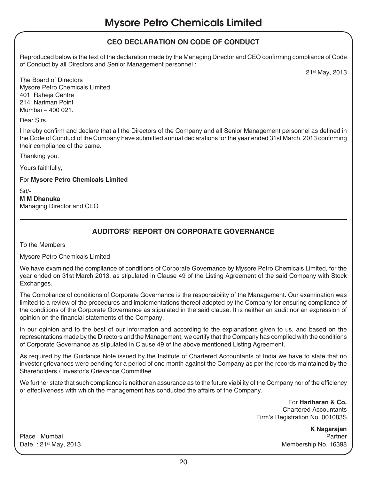#### **CEO DECLARATION ON CODE OF CONDUCT**

Reproduced below is the text of the declaration made by the Managing Director and CEO confirming compliance of Code of Conduct by all Directors and Senior Management personnel :

21st May, 2013

The Board of Directors Mysore Petro Chemicals Limited 401, Raheja Centre 214, Nariman Point Mumbai – 400 021.

Dear Sirs,

I hereby confirm and declare that all the Directors of the Company and all Senior Management personnel as defined in the Code of Conduct of the Company have submitted annual declarations for the year ended 31st March, 2013 confirming their compliance of the same.

Thanking you.

Yours faithfully,

For **Mysore Petro Chemicals Limited**

Sd/- **M M Dhanuka**  Managing Director and CEO

### **AUDITORS' REPORT ON CORPORATE GOVERNANCE**

To the Members

Mysore Petro Chemicals Limited

We have examined the compliance of conditions of Corporate Governance by Mysore Petro Chemicals Limited, for the year ended on 31st March 2013, as stipulated in Clause 49 of the Listing Agreement of the said Company with Stock Exchanges.

The Compliance of conditions of Corporate Governance is the responsibility of the Management. Our examination was limited to a review of the procedures and implementations thereof adopted by the Company for ensuring compliance of the conditions of the Corporate Governance as stipulated in the said clause. It is neither an audit nor an expression of opinion on the financial statements of the Company.

In our opinion and to the best of our information and according to the explanations given to us, and based on the representations made by the Directors and the Management, we certify that the Company has complied with the conditions of Corporate Governance as stipulated in Clause 49 of the above mentioned Listing Agreement.

As required by the Guidance Note issued by the Institute of Chartered Accountants of India we have to state that no investor grievances were pending for a period of one month against the Company as per the records maintained by the Shareholders / Investor's Grievance Committee.

We further state that such compliance is neither an assurance as to the future viability of the Company nor of the efficiency or effectiveness with which the management has conducted the affairs of the Company.

> For **Hariharan & Co.**  Chartered Accountants Firm's Registration No. 001083S

**K Nagarajan**  Place : Mumbai Partner Date : 21<sup>st</sup> May, 2013 **Date : 21st Membership No. 16398**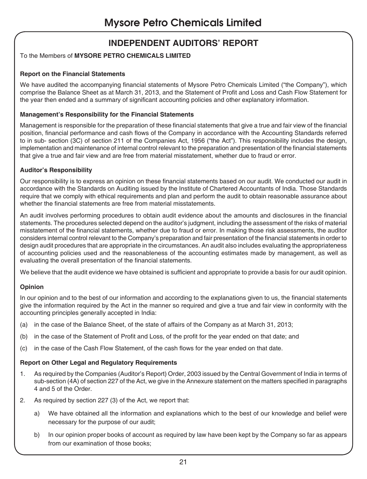### **INDEPENDENT AUDITORS' REPORT**

#### To the Members of **MYSORE PETRO CHEMICALS LIMITED**

#### **Report on the Financial Statements**

We have audited the accompanying financial statements of Mysore Petro Chemicals Limited ("the Company"), which comprise the Balance Sheet as at March 31, 2013, and the Statement of Profit and Loss and Cash Flow Statement for the year then ended and a summary of significant accounting policies and other explanatory information.

#### **Management's Responsibility for the Financial Statements**

Management is responsible for the preparation of these financial statements that give a true and fair view of the financial position, financial performance and cash flows of the Company in accordance with the Accounting Standards referred to in sub- section (3C) of section 211 of the Companies Act, 1956 ("the Act"). This responsibility includes the design, implementation and maintenance of internal control relevant to the preparation and presentation of the financial statements that give a true and fair view and are free from material misstatement, whether due to fraud or error.

#### **Auditor's Responsibility**

Our responsibility is to express an opinion on these financial statements based on our audit. We conducted our audit in accordance with the Standards on Auditing issued by the Institute of Chartered Accountants of India. Those Standards require that we comply with ethical requirements and plan and perform the audit to obtain reasonable assurance about whether the financial statements are free from material misstatements.

An audit involves performing procedures to obtain audit evidence about the amounts and disclosures in the financial statements. The procedures selected depend on the auditor's judgment, including the assessment of the risks of material misstatement of the financial statements, whether due to fraud or error. In making those risk assessments, the auditor considers internal control relevant to the Company's preparation and fair presentation of the financial statements in order to design audit procedures that are appropriate in the circumstances. An audit also includes evaluating the appropriateness of accounting policies used and the reasonableness of the accounting estimates made by management, as well as evaluating the overall presentation of the financial statements.

We believe that the audit evidence we have obtained is sufficient and appropriate to provide a basis for our audit opinion.

#### **Opinion**

In our opinion and to the best of our information and according to the explanations given to us, the financial statements give the information required by the Act in the manner so required and give a true and fair view in conformity with the accounting principles generally accepted in India:

- (a) in the case of the Balance Sheet, of the state of affairs of the Company as at March 31, 2013;
- (b) in the case of the Statement of Profit and Loss, of the profit for the year ended on that date; and
- (c) in the case of the Cash Flow Statement, of the cash flows for the year ended on that date.

#### **Report on Other Legal and Regulatory Requirements**

- 1. As required by the Companies (Auditor's Report) Order, 2003 issued by the Central Government of India in terms of sub-section (4A) of section 227 of the Act, we give in the Annexure statement on the matters specified in paragraphs 4 and 5 of the Order.
- 2. As required by section 227 (3) of the Act, we report that:
	- a) We have obtained all the information and explanations which to the best of our knowledge and belief were necessary for the purpose of our audit;
	- b) In our opinion proper books of account as required by law have been kept by the Company so far as appears from our examination of those books;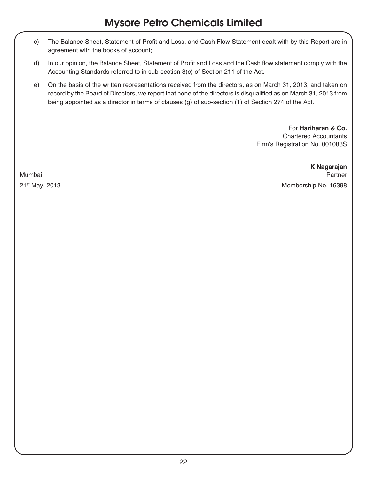- c) The Balance Sheet, Statement of Profit and Loss, and Cash Flow Statement dealt with by this Report are in agreement with the books of account;
- d) In our opinion, the Balance Sheet, Statement of Profit and Loss and the Cash flow statement comply with the Accounting Standards referred to in sub-section 3(c) of Section 211 of the Act.
- e) On the basis of the written representations received from the directors, as on March 31, 2013, and taken on record by the Board of Directors, we report that none of the directors is disqualified as on March 31, 2013 from being appointed as a director in terms of clauses (g) of sub-section (1) of Section 274 of the Act.

For **Hariharan & Co.** Chartered Accountants Firm's Registration No. 001083S

**K Nagarajan**  Mumbai Partner

21st May, 2013 Membership No. 16398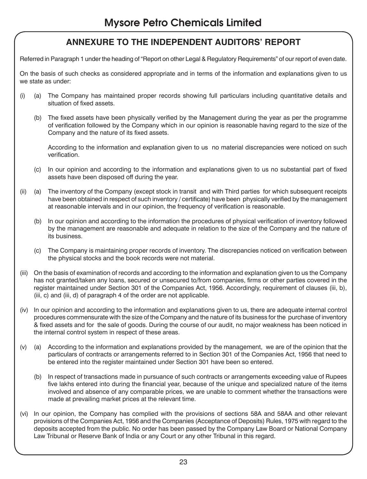### **ANNEXURE TO THE INDEPENDENT AUDITORS' REPORT**

Referred in Paragraph 1 under the heading of "Report on other Legal & Regulatory Requirements" of our report of even date.

On the basis of such checks as considered appropriate and in terms of the information and explanations given to us we state as under:

- (i) (a) The Company has maintained proper records showing full particulars including quantitative details and situation of fixed assets.
	- (b) The fixed assets have been physically verified by the Management during the year as per the programme of verification followed by the Company which in our opinion is reasonable having regard to the size of the Company and the nature of its fixed assets.

According to the information and explanation given to us no material discrepancies were noticed on such verification.

- (c) In our opinion and according to the information and explanations given to us no substantial part of fixed assets have been disposed off during the year.
- (ii) (a) The inventory of the Company (except stock in transit and with Third parties for which subsequent receipts have been obtained in respect of such inventory / certificate) have been physically verified by the management at reasonable intervals and in our opinion, the frequency of verification is reasonable.
	- (b) In our opinion and according to the information the procedures of physical verification of inventory followed by the management are reasonable and adequate in relation to the size of the Company and the nature of its business.
	- (c) The Company is maintaining proper records of inventory. The discrepancies noticed on verification between the physical stocks and the book records were not material.
- (iii) On the basis of examination of records and according to the information and explanation given to us the Company has not granted/taken any loans, secured or unsecured to/from companies, firms or other parties covered in the register maintained under Section 301 of the Companies Act, 1956. Accordingly, requirement of clauses (iii, b), (iii, c) and (iii, d) of paragraph 4 of the order are not applicable.
- (iv) In our opinion and according to the information and explanations given to us, there are adequate internal control procedures commensurate with the size of the Company and the nature of its business for the purchase of inventory & fixed assets and for the sale of goods. During the course of our audit, no major weakness has been noticed in the internal control system in respect of these areas.
- (v) (a) According to the information and explanations provided by the management, we are of the opinion that the particulars of contracts or arrangements referred to in Section 301 of the Companies Act, 1956 that need to be entered into the register maintained under Section 301 have been so entered.
	- (b) In respect of transactions made in pursuance of such contracts or arrangements exceeding value of Rupees five lakhs entered into during the financial year, because of the unique and specialized nature of the items involved and absence of any comparable prices, we are unable to comment whether the transactions were made at prevailing market prices at the relevant time.
- (vi) In our opinion, the Company has complied with the provisions of sections 58A and 58AA and other relevant provisions of the Companies Act, 1956 and the Companies (Acceptance of Deposits) Rules, 1975 with regard to the deposits accepted from the public. No order has been passed by the Company Law Board or National Company Law Tribunal or Reserve Bank of India or any Court or any other Tribunal in this regard.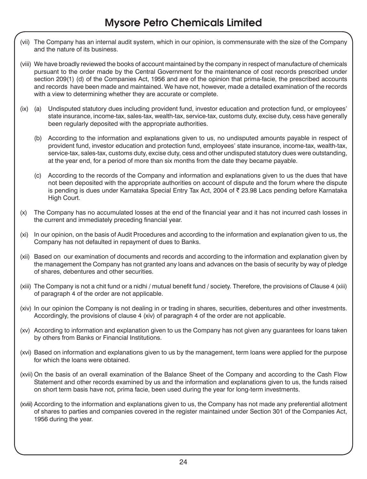- (vii) The Company has an internal audit system, which in our opinion, is commensurate with the size of the Company and the nature of its business.
- (viii) We have broadly reviewed the books of account maintained by the company in respect of manufacture of chemicals pursuant to the order made by the Central Government for the maintenance of cost records prescribed under section 209(1) (d) of the Companies Act, 1956 and are of the opinion that prima-facie, the prescribed accounts and records have been made and maintained. We have not, however, made a detailed examination of the records with a view to determining whether they are accurate or complete.
- (ix) (a) Undisputed statutory dues including provident fund, investor education and protection fund, or employees' state insurance, income-tax, sales-tax, wealth-tax, service-tax, customs duty, excise duty, cess have generally been regularly deposited with the appropriate authorities.
	- (b) According to the information and explanations given to us, no undisputed amounts payable in respect of provident fund, investor education and protection fund, employees' state insurance, income-tax, wealth-tax, service-tax, sales-tax, customs duty, excise duty, cess and other undisputed statutory dues were outstanding, at the year end, for a period of more than six months from the date they became payable.
	- (c) According to the records of the Company and information and explanations given to us the dues that have not been deposited with the appropriate authorities on account of dispute and the forum where the dispute is pending is dues under Karnataka Special Entry Tax Act, 2004 of  $\bar{\tau}$  23.98 Lacs pending before Karnataka High Court.
- (x) The Company has no accumulated losses at the end of the financial year and it has not incurred cash losses in the current and immediately preceding financial year.
- (xi) In our opinion, on the basis of Audit Procedures and according to the information and explanation given to us, the Company has not defaulted in repayment of dues to Banks.
- (xii) Based on our examination of documents and records and according to the information and explanation given by the management the Company has not granted any loans and advances on the basis of security by way of pledge of shares, debentures and other securities.
- (xiii) The Company is not a chit fund or a nidhi / mutual benefit fund / society. Therefore, the provisions of Clause 4 (xiii) of paragraph 4 of the order are not applicable.
- (xiv) In our opinion the Company is not dealing in or trading in shares, securities, debentures and other investments. Accordingly, the provisions of clause 4 (xiv) of paragraph 4 of the order are not applicable.
- (xv) According to information and explanation given to us the Company has not given any guarantees for loans taken by others from Banks or Financial Institutions.
- (xvi) Based on information and explanations given to us by the management, term loans were applied for the purpose for which the loans were obtained.
- (xvii) On the basis of an overall examination of the Balance Sheet of the Company and according to the Cash Flow Statement and other records examined by us and the information and explanations given to us, the funds raised on short term basis have not, prima facie, been used during the year for long-term investments.
- (xviii) According to the information and explanations given to us, the Company has not made any preferential allotment of shares to parties and companies covered in the register maintained under Section 301 of the Companies Act, 1956 during the year.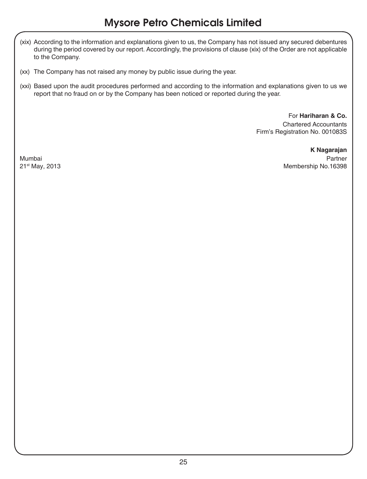- (xix) According to the information and explanations given to us, the Company has not issued any secured debentures during the period covered by our report. Accordingly, the provisions of clause (xix) of the Order are not applicable to the Company.
- (xx) The Company has not raised any money by public issue during the year.
- (xxi) Based upon the audit procedures performed and according to the information and explanations given to us we report that no fraud on or by the Company has been noticed or reported during the year.

For **Hariharan & Co.**

Chartered Accountants Firm's Registration No. 001083S

**K Nagarajan** Mumbai Partner 21st May, 2013 2013 2013 2014 2015 2016 2017 2020 21: 21st May, 2013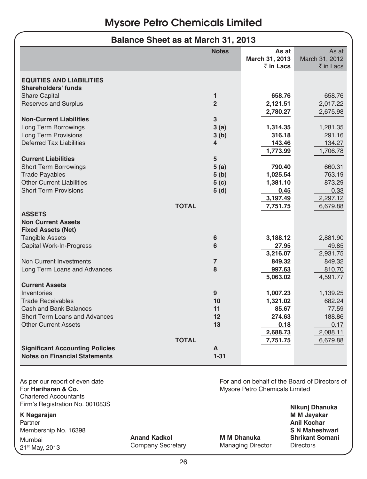### **Balance Sheet as at March 31, 2013**

|                                        | <b>Notes</b>            | As at          | As at                |
|----------------------------------------|-------------------------|----------------|----------------------|
|                                        |                         | March 31, 2013 | March 31, 2012       |
|                                        |                         | ₹ in Lacs      | $\bar{\tau}$ in Lacs |
|                                        |                         |                |                      |
| <b>EQUITIES AND LIABILITIES</b>        |                         |                |                      |
| <b>Shareholders' funds</b>             |                         |                |                      |
| <b>Share Capital</b>                   | $\mathbf{1}$            | 658.76         | 658.76               |
| <b>Reserves and Surplus</b>            | $\overline{2}$          | 2,121.51       | 2,017.22             |
|                                        |                         | 2,780.27       | 2,675.98             |
| <b>Non-Current Liabilities</b>         | 3                       |                |                      |
| Long Term Borrowings                   | 3(a)                    | 1,314.35       | 1,281.35             |
| <b>Long Term Provisions</b>            | 3(b)                    | 316.18         | 291.16               |
| Deferred Tax Liabilities               | $\overline{\mathbf{4}}$ | 143.46         | 134.27               |
|                                        |                         | 1,773.99       | 1,706.78             |
| <b>Current Liabilities</b>             | 5                       |                |                      |
| Short Term Borrowings                  | 5(a)                    | 790.40         | 660.31               |
| <b>Trade Payables</b>                  | 5(b)                    | 1,025.54       | 763.19               |
| <b>Other Current Liabilities</b>       | 5(c)                    | 1,381.10       | 873.29               |
| <b>Short Term Provisions</b>           | 5(d)                    | 0.45           | 0.33                 |
|                                        |                         | 3,197.49       | 2,297.12             |
|                                        | <b>TOTAL</b>            | 7,751.75       | 6,679.88             |
| <b>ASSETS</b>                          |                         |                |                      |
| <b>Non Current Assets</b>              |                         |                |                      |
| <b>Fixed Assets (Net)</b>              |                         |                |                      |
| <b>Tangible Assets</b>                 | 6                       | 3,188.12       | 2,881.90             |
| Capital Work-In-Progress               | 6                       | 27.95          | 49.85                |
|                                        |                         | 3,216.07       | 2,931.75             |
|                                        |                         | 849.32         | 849.32               |
| Non Current Investments                | 7<br>8                  |                |                      |
| Long Term Loans and Advances           |                         | 997.63         | 810.70               |
|                                        |                         | 5,063.02       | 4,591.77             |
| <b>Current Assets</b>                  |                         |                |                      |
| Inventories                            | 9                       | 1,007.23       | 1,139.25             |
| <b>Trade Receivables</b>               | 10                      | 1,321.02       | 682.24               |
| Cash and Bank Balances                 | 11                      | 85.67          | 77.59                |
| <b>Short Terrn Loans and Advances</b>  | 12                      | 274.63         | 188.86               |
| <b>Other Current Assets</b>            | 13                      | 0.18           | 0.17                 |
|                                        |                         | 2,688.73       | 2,088.11             |
|                                        | <b>TOTAL</b>            | 7,751.75       | 6,679.88             |
| <b>Significant Accounting Policies</b> | A                       |                |                      |
| <b>Notes on Financial Statements</b>   | $1 - 31$                |                |                      |
|                                        |                         |                |                      |

Chartered Accountants Firm's Registration No. 001083S **Nikunj Dhanuka**

| Partner                  |                                          |                                                | Anil Kochar                                |
|--------------------------|------------------------------------------|------------------------------------------------|--------------------------------------------|
| Membership No. 16398     |                                          |                                                | <b>S N Maheshwari</b>                      |
| Mumbai<br>21st May, 2013 | <b>Anand Kadkol</b><br>Company Secretary | <b>M</b> M Dhanuka<br><b>Managing Director</b> | <b>Shrikant Somani</b><br><b>Directors</b> |

As per our report of even date<br>
For **Hariharan & Co.**<br>
For **Hariharan & Co.**<br>
For **Hariharan & Co. Mysore Petro Chemicals Limited** 

**K Nagarajan M M Jayakar** Membership No. 16398 **S N Maheshwari**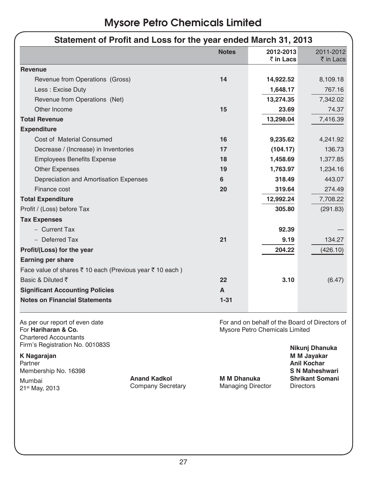| Statement of Profit and Loss for the year ended March 31, 2013 |              |                                |                                                |
|----------------------------------------------------------------|--------------|--------------------------------|------------------------------------------------|
|                                                                | <b>Notes</b> | 2012-2013                      | 2011-2012                                      |
|                                                                |              | ₹ in Lacs                      | ₹ in Lacs                                      |
| Revenue                                                        |              |                                |                                                |
| Revenue from Operations (Gross)                                | 14           | 14,922.52                      | 8,109.18                                       |
| Less: Excise Duty                                              |              | 1,648.17                       | 767.16                                         |
| Revenue from Operations (Net)                                  |              | 13,274.35                      | 7,342.02                                       |
| Other Income                                                   | 15           | 23.69                          | 74.37                                          |
| <b>Total Revenue</b>                                           |              | 13,298.04                      | 7,416.39                                       |
| <b>Expenditure</b>                                             |              |                                |                                                |
| Cost of Material Consumed                                      | 16           | 9,235.62                       | 4,241.92                                       |
| Decrease / (Increase) in Inventories                           | 17           | (104.17)                       | 136.73                                         |
| <b>Employees Benefits Expense</b>                              | 18           | 1,458.69                       | 1,377.85                                       |
| <b>Other Expenses</b>                                          | 19           | 1,763.97                       | 1,234.16                                       |
| Depreciation and Amortisation Expenses                         | 6            | 318.49                         | 443.07                                         |
| Finance cost                                                   | 20           | 319.64                         | 274.49                                         |
| <b>Total Expenditure</b>                                       |              | 12,992.24                      | 7,708.22                                       |
| Profit / (Loss) before Tax                                     |              | 305.80                         | (291.83)                                       |
| <b>Tax Expenses</b>                                            |              |                                |                                                |
| - Current Tax                                                  |              | 92.39                          |                                                |
| - Deferred Tax                                                 | 21           | 9.19                           | 134.27                                         |
| Profit/(Loss) for the year                                     |              | 204.22                         | (426.10)                                       |
| <b>Earning per share</b>                                       |              |                                |                                                |
| Face value of shares ₹ 10 each (Previous year ₹ 10 each)       |              |                                |                                                |
| Basic & Diluted ₹                                              | 22           | 3.10                           | (6.47)                                         |
| <b>Significant Accounting Policies</b>                         | A            |                                |                                                |
| <b>Notes on Financial Statements</b>                           | $1 - 31$     |                                |                                                |
| As per our report of even date<br>For Hariharan & Co.          |              | Mysore Petro Chemicals Limited | For and on behalf of the Board of Directors of |

Chartered Accountants

Firm's Registration No. 001083S **Nikunj Dhanuka K Nagarajan M M Jayakar** Membership No. 16398 **S N Maheshwari** Mumbai **Anand Kadkol M M Dhanuka Shrikant Somani** Manibar<br>21<sup>st</sup> May, 2013 **Company Secretary** Managing Director Directors

**Anil Kochar<br>S N Maheshwari**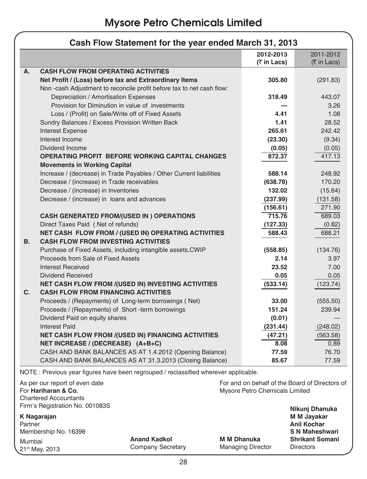|    | Cash Flow Statement for the year ended March 31, 2013                                      |                    |                          |  |
|----|--------------------------------------------------------------------------------------------|--------------------|--------------------------|--|
|    |                                                                                            | 2012-2013          | 2011-2012                |  |
|    |                                                                                            | (₹ in Lacs)        | $(5 \in \text{In}$ Lacs) |  |
| Α. | <b>CASH FLOW FROM OPERATING ACTIVITIES</b>                                                 |                    |                          |  |
|    | Net Profit / (Loss) before tax and Extraordinary Items                                     | 305.80             | (291.83)                 |  |
|    | Non-cash Adjustment to reconcile profit before tax to net cash flow:                       |                    |                          |  |
|    | Depreciation / Amortisation Expenses                                                       | 318.49             | 443.07                   |  |
|    | Provision for Diminution in value of investments                                           |                    | 3.26                     |  |
|    | Loss / (Profit) on Sale/Write off of Fixed Assets                                          | 4.41               | 1.08                     |  |
|    | Sundry Balances / Excess Provision Written Back                                            | 1.41               | 28.52                    |  |
|    | <b>Interest Expense</b>                                                                    | 265.61             | 242.42                   |  |
|    | Interest Income                                                                            | (23.30)            | (9.34)                   |  |
|    | Dividend Income                                                                            | (0.05)             | (0.05)                   |  |
|    | <b>OPERATING PROFIT BEFORE WORKING CAPITAL CHANGES</b>                                     | 872.37             | 417.13                   |  |
|    | <b>Movements in Working Capital</b>                                                        |                    |                          |  |
|    | Increase / (decrease) in Trade Payables / Other Current liabilities                        | 588.14             | 248.92                   |  |
|    | Decrease / (increase) in Trade receivables                                                 | (638.78)           | 170.20                   |  |
|    | Decrease / (increase) in Inventories                                                       | 132.02             | (15.64)                  |  |
|    | Decrease / (increase) in loans and advances                                                | (237.99)           | (131.58)                 |  |
|    |                                                                                            | (156.61)<br>715.76 | 271.90                   |  |
|    | <b>CASH GENERATED FROM/(USED IN) OPERATIONS</b><br>Direct Taxes Paid (Net of refunds)      | (127.33)           | 689.03                   |  |
|    | NET CASH FLOW FROM / (USED IN) OPERATING ACTIVITIES                                        | 588.43             | (0.82)<br>688.21         |  |
| В. | <b>CASH FLOW FROM INVESTING ACTIVITIES</b>                                                 |                    |                          |  |
|    | Purchase of Fixed Assets, including intangible assets, CWIP                                | (558.85)           | (134.76)                 |  |
|    | Proceeds from Sale of Fixed Assets                                                         | 2.14               | 3.97                     |  |
|    | Interest Received                                                                          | 23.52              | 7.00                     |  |
|    | Dividend Received                                                                          | 0.05               | 0.05                     |  |
|    | NET CASH FLOW FROM /(USED IN) INVESTING ACTIVITIES                                         | (533.14)           | (123.74)                 |  |
| C. | <b>CASH FLOW FROM FINANCING ACTIVITIES</b>                                                 |                    |                          |  |
|    | Proceeds / (Repayments) of Long-term borrowings (Net)                                      | 33.00              | (555.50)                 |  |
|    | Proceeds / (Repayments) of Short -term borrowings                                          | 151.24             | 239.94                   |  |
|    | Dividend Paid on equity shares                                                             | (0.01)             |                          |  |
|    | <b>Interest Paid</b>                                                                       | (231.44)           | (248.02)                 |  |
|    | <b>NET CASH FLOW FROM /(USED IN) FINANCING ACTIVITIES</b>                                  | (47.21)            | (563.58)                 |  |
|    | NET INCREASE / (DECREASE) (A+B+C)                                                          | 8.08               | 0.89                     |  |
|    | CASH AND BANK BALANCES AS AT 1.4.2012 (Opening Balance)                                    | 77.59              | 76.70                    |  |
|    | CASH AND BANK BALANCES AS AT 31.3.2013 (Closing Balance)                                   | 85.67              | 77.59                    |  |
|    | $MOTE \cdot Drouique year$ figures have been regrained $/$ realegating wherever applicable |                    |                          |  |

NOTE : Previous year figures have been regrouped / reclassified wherever applicable.

| As per our report of even date                      |                     |                                | For and on behalf of the Board of Directors of |
|-----------------------------------------------------|---------------------|--------------------------------|------------------------------------------------|
| For Hariharan & Co.<br><b>Chartered Accountants</b> |                     | Mysore Petro Chemicals Limited |                                                |
| Firm's Registration No. 001083S                     |                     |                                | Nikunj Dhanuka                                 |
| K Nagarajan                                         |                     |                                | M M Jayakar                                    |
| Partner                                             |                     |                                | <b>Anil Kochar</b>                             |
| Membership No. 16398                                |                     |                                | <b>S N Maheshwari</b>                          |
| Mumbai                                              | <b>Anand Kadkol</b> | <b>M M Dhanuka</b>             | <b>Shrikant Somani</b>                         |
| 21 <sup>st</sup> May, 2013                          | Company Secretary   | <b>Managing Director</b>       | <b>Directors</b>                               |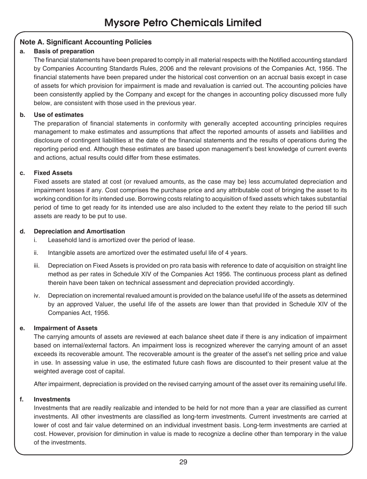#### **Note A. Significant Accounting Policies**

#### **a. Basis of preparation**

The financial statements have been prepared to comply in all material respects with the Notified accounting standard by Companies Accounting Standards Rules, 2006 and the relevant provisions of the Companies Act, 1956. The financial statements have been prepared under the historical cost convention on an accrual basis except in case of assets for which provision for impairment is made and revaluation is carried out. The accounting policies have been consistently applied by the Company and except for the changes in accounting policy discussed more fully below, are consistent with those used in the previous year.

#### **b. Use of estimates**

The preparation of financial statements in conformity with generally accepted accounting principles requires management to make estimates and assumptions that affect the reported amounts of assets and liabilities and disclosure of contingent liabilities at the date of the financial statements and the results of operations during the reporting period end. Although these estimates are based upon management's best knowledge of current events and actions, actual results could differ from these estimates.

#### **c. Fixed Assets**

Fixed assets are stated at cost (or revalued amounts, as the case may be) less accumulated depreciation and impairment losses if any. Cost comprises the purchase price and any attributable cost of bringing the asset to its working condition for its intended use. Borrowing costs relating to acquisition of fixed assets which takes substantial period of time to get ready for its intended use are also included to the extent they relate to the period till such assets are ready to be put to use.

#### **d. Depreciation and Amortisation**

- i. Leasehold land is amortized over the period of lease.
- ii. Intangible assets are amortized over the estimated useful life of 4 years.
- iii. Depreciation on Fixed Assets is provided on pro rata basis with reference to date of acquisition on straight line method as per rates in Schedule XIV of the Companies Act 1956. The continuous process plant as defined therein have been taken on technical assessment and depreciation provided accordingly.
- iv. Depreciation on incremental revalued amount is provided on the balance useful life of the assets as determined by an approved Valuer, the useful life of the assets are lower than that provided in Schedule XIV of the Companies Act, 1956.

#### **e. Impairment of Assets**

The carrying amounts of assets are reviewed at each balance sheet date if there is any indication of impairment based on internal/external factors. An impairment loss is recognized wherever the carrying amount of an asset exceeds its recoverable amount. The recoverable amount is the greater of the asset's net selling price and value in use. In assessing value in use, the estimated future cash flows are discounted to their present value at the weighted average cost of capital.

After impairment, depreciation is provided on the revised carrying amount of the asset over its remaining useful life.

#### **f. Investments**

Investments that are readily realizable and intended to be held for not more than a year are classified as current investments. All other investments are classified as long-term investments. Current investments are carried at lower of cost and fair value determined on an individual investment basis. Long-term investments are carried at cost. However, provision for diminution in value is made to recognize a decline other than temporary in the value of the investments.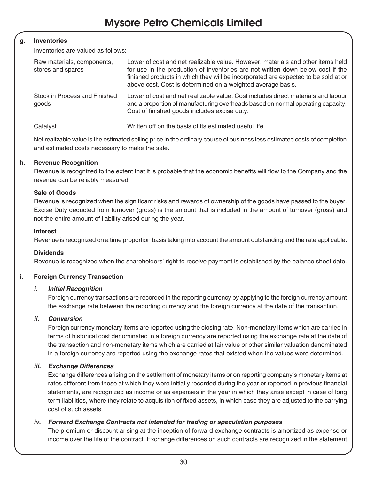#### **g. Inventories**

Inventories are valued as follows:

| Raw materials, components,<br>stores and spares | Lower of cost and net realizable value. However, materials and other items held<br>for use in the production of inventories are not written down below cost if the<br>finished products in which they will be incorporated are expected to be sold at or<br>above cost. Cost is determined on a weighted average basis. |
|-------------------------------------------------|-------------------------------------------------------------------------------------------------------------------------------------------------------------------------------------------------------------------------------------------------------------------------------------------------------------------------|
| Stock in Process and Finished<br>goods          | Lower of cost and net realizable value. Cost includes direct materials and labour<br>and a proportion of manufacturing overheads based on normal operating capacity.<br>Cost of finished goods includes excise duty.                                                                                                    |
| Catalyst                                        | Written off on the basis of its estimated useful life                                                                                                                                                                                                                                                                   |

Net realizable value is the estimated selling price in the ordinary course of business less estimated costs of completion and estimated costs necessary to make the sale.

#### **h. Revenue Recognition**

Revenue is recognized to the extent that it is probable that the economic benefits will flow to the Company and the revenue can be reliably measured.

#### **Sale of Goods**

Revenue is recognized when the significant risks and rewards of ownership of the goods have passed to the buyer. Excise Duty deducted from turnover (gross) is the amount that is included in the amount of turnover (gross) and not the entire amount of liability arised during the year.

#### **Interest**

Revenue is recognized on a time proportion basis taking into account the amount outstanding and the rate applicable.

#### **Dividends**

Revenue is recognized when the shareholders' right to receive payment is established by the balance sheet date.

#### **i. Foreign Currency Transaction**

#### *i. Initial Recognition*

Foreign currency transactions are recorded in the reporting currency by applying to the foreign currency amount the exchange rate between the reporting currency and the foreign currency at the date of the transaction.

#### *ii. Conversion*

Foreign currency monetary items are reported using the closing rate. Non-monetary items which are carried in terms of historical cost denominated in a foreign currency are reported using the exchange rate at the date of the transaction and non-monetary items which are carried at fair value or other similar valuation denominated in a foreign currency are reported using the exchange rates that existed when the values were determined.

#### *iii. Exchange Differences*

Exchange differences arising on the settlement of monetary items or on reporting company's monetary items at rates different from those at which they were initially recorded during the year or reported in previous financial statements, are recognized as income or as expenses in the year in which they arise except in case of long term liabilities, where they relate to acquisition of fixed assets, in which case they are adjusted to the carrying cost of such assets.

#### *iv. Forward Exchange Contracts not intended for trading or speculation purposes*

The premium or discount arising at the inception of forward exchange contracts is amortized as expense or income over the life of the contract. Exchange differences on such contracts are recognized in the statement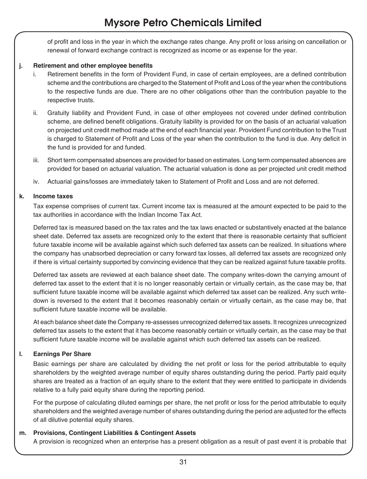of profit and loss in the year in which the exchange rates change. Any profit or loss arising on cancellation or renewal of forward exchange contract is recognized as income or as expense for the year.

#### **j. Retirement and other employee benefits**

- Retirement benefits in the form of Provident Fund, in case of certain employees, are a defined contribution scheme and the contributions are charged to the Statement of Profit and Loss of the year when the contributions to the respective funds are due. There are no other obligations other than the contribution payable to the respective trusts.
- ii. Gratuity liability and Provident Fund, in case of other employees not covered under defined contribution scheme, are defined benefit obligations. Gratuity liability is provided for on the basis of an actuarial valuation on projected unit credit method made at the end of each financial year. Provident Fund contribution to the Trust is charged to Statement of Profit and Loss of the year when the contribution to the fund is due. Any deficit in the fund is provided for and funded.
- iii. Short term compensated absences are provided for based on estimates. Long term compensated absences are provided for based on actuarial valuation. The actuarial valuation is done as per projected unit credit method
- iv. Actuarial gains/losses are immediately taken to Statement of Profit and Loss and are not deferred.

#### **k. Income taxes**

Tax expense comprises of current tax. Current income tax is measured at the amount expected to be paid to the tax authorities in accordance with the Indian Income Tax Act.

Deferred tax is measured based on the tax rates and the tax laws enacted or substantively enacted at the balance sheet date. Deferred tax assets are recognized only to the extent that there is reasonable certainty that sufficient future taxable income will be available against which such deferred tax assets can be realized. In situations where the company has unabsorbed depreciation or carry forward tax losses, all deferred tax assets are recognized only if there is virtual certainty supported by convincing evidence that they can be realized against future taxable profits.

Deferred tax assets are reviewed at each balance sheet date. The company writes-down the carrying amount of deferred tax asset to the extent that it is no longer reasonably certain or virtually certain, as the case may be, that sufficient future taxable income will be available against which deferred tax asset can be realized. Any such writedown is reversed to the extent that it becomes reasonably certain or virtually certain, as the case may be, that sufficient future taxable income will be available.

At each balance sheet date the Company re-assesses unrecognized deferred tax assets. It recognizes unrecognized deferred tax assets to the extent that it has become reasonably certain or virtually certain, as the case may be that sufficient future taxable income will be available against which such deferred tax assets can be realized.

#### **l. Earnings Per Share**

Basic earnings per share are calculated by dividing the net profit or loss for the period attributable to equity shareholders by the weighted average number of equity shares outstanding during the period. Partly paid equity shares are treated as a fraction of an equity share to the extent that they were entitled to participate in dividends relative to a fully paid equity share during the reporting period.

For the purpose of calculating diluted earnings per share, the net profit or loss for the period attributable to equity shareholders and the weighted average number of shares outstanding during the period are adjusted for the effects of all dilutive potential equity shares.

#### **m. Provisions, Contingent Liabilities & Contingent Assets**

A provision is recognized when an enterprise has a present obligation as a result of past event it is probable that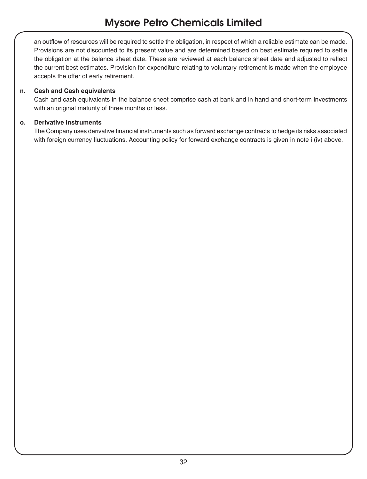an outflow of resources will be required to settle the obligation, in respect of which a reliable estimate can be made. Provisions are not discounted to its present value and are determined based on best estimate required to settle the obligation at the balance sheet date. These are reviewed at each balance sheet date and adjusted to reflect the current best estimates. Provision for expenditure relating to voluntary retirement is made when the employee accepts the offer of early retirement.

#### **n. Cash and Cash equivalents**

Cash and cash equivalents in the balance sheet comprise cash at bank and in hand and short-term investments with an original maturity of three months or less.

#### **o. Derivative Instruments**

The Company uses derivative financial instruments such as forward exchange contracts to hedge its risks associated with foreign currency fluctuations. Accounting policy for forward exchange contracts is given in note i (iv) above.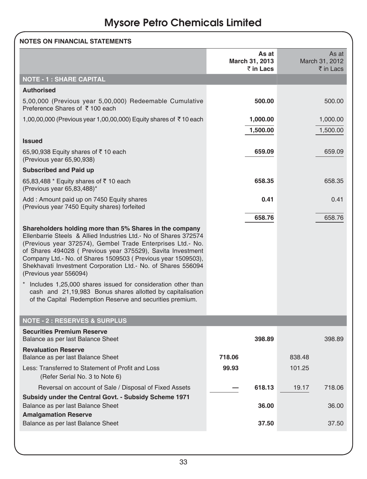| <b>NOTES ON FINANCIAL STATEMENTS</b>                                                                                                                                                                                                                                                                                                                                                                              |                                      |        |                                      |
|-------------------------------------------------------------------------------------------------------------------------------------------------------------------------------------------------------------------------------------------------------------------------------------------------------------------------------------------------------------------------------------------------------------------|--------------------------------------|--------|--------------------------------------|
|                                                                                                                                                                                                                                                                                                                                                                                                                   | As at<br>March 31, 2013<br>₹ in Lacs |        | As at<br>March 31, 2012<br>₹ in Lacs |
| <b>NOTE - 1 : SHARE CAPITAL</b>                                                                                                                                                                                                                                                                                                                                                                                   |                                      |        |                                      |
| <b>Authorised</b>                                                                                                                                                                                                                                                                                                                                                                                                 |                                      |        |                                      |
| 5,00,000 (Previous year 5,00,000) Redeemable Cumulative<br>Preference Shares of ₹100 each                                                                                                                                                                                                                                                                                                                         | 500.00                               |        | 500.00                               |
| 1,00,00,000 (Previous year 1,00,00,000) Equity shares of ₹10 each                                                                                                                                                                                                                                                                                                                                                 | 1,000.00<br>1,500.00                 |        | 1,000.00<br>1,500.00                 |
| <b>Issued</b>                                                                                                                                                                                                                                                                                                                                                                                                     |                                      |        |                                      |
| 65,90,938 Equity shares of ₹10 each<br>(Previous year 65,90,938)                                                                                                                                                                                                                                                                                                                                                  | 659.09                               |        | 659.09                               |
| <b>Subscribed and Paid up</b>                                                                                                                                                                                                                                                                                                                                                                                     |                                      |        |                                      |
| 65,83,488 * Equity shares of ₹10 each<br>(Previous year $65,83,488$ )*                                                                                                                                                                                                                                                                                                                                            | 658.35                               |        | 658.35                               |
| Add: Amount paid up on 7450 Equity shares<br>(Previous year 7450 Equity shares) forfeited                                                                                                                                                                                                                                                                                                                         | 0.41                                 |        | 0.41                                 |
|                                                                                                                                                                                                                                                                                                                                                                                                                   | 658.76                               |        | 658.76                               |
| Shareholders holding more than 5% Shares in the company<br>Ellenbarrie Steels & Allied Industries Ltd. No of Shares 372574<br>(Previous year 372574), Gembel Trade Enterprises Ltd.- No.<br>of Shares 494028 ( Previous year 375529), Savita Investment<br>Company Ltd.- No. of Shares 1509503 (Previous year 1509503),<br>Shekhavati Investment Corporation Ltd.- No. of Shares 556094<br>(Previous year 556094) |                                      |        |                                      |
| Includes 1,25,000 shares issued for consideration other than<br>cash and 21,19,983 Bonus shares allotted by capitalisation<br>of the Capital Redemption Reserve and securities premium.                                                                                                                                                                                                                           |                                      |        |                                      |
| <b>NOTE - 2 : RESERVES &amp; SURPLUS</b>                                                                                                                                                                                                                                                                                                                                                                          |                                      |        |                                      |
| <b>Securities Premium Reserve</b><br>Balance as per last Balance Sheet                                                                                                                                                                                                                                                                                                                                            | 398.89                               |        | 398.89                               |
| <b>Revaluation Reserve</b><br>Balance as per last Balance Sheet                                                                                                                                                                                                                                                                                                                                                   | 718.06                               | 838.48 |                                      |
| Less: Transferred to Statement of Profit and Loss<br>(Refer Serial No. 3 to Note 6)                                                                                                                                                                                                                                                                                                                               | 99.93                                | 101.25 |                                      |
| Reversal on account of Sale / Disposal of Fixed Assets                                                                                                                                                                                                                                                                                                                                                            | 618.13                               | 19.17  | 718.06                               |
| Subsidy under the Central Govt. - Subsidy Scheme 1971                                                                                                                                                                                                                                                                                                                                                             |                                      |        |                                      |
| Balance as per last Balance Sheet                                                                                                                                                                                                                                                                                                                                                                                 | 36.00                                |        | 36.00                                |
| <b>Amalgamation Reserve</b><br>Balance as per last Balance Sheet                                                                                                                                                                                                                                                                                                                                                  | 37.50                                |        | 37.50                                |
|                                                                                                                                                                                                                                                                                                                                                                                                                   |                                      |        |                                      |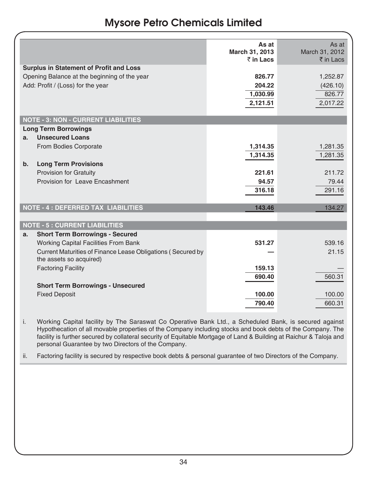| <b>Surplus in Statement of Profit and Loss</b><br>Opening Balance at the beginning of the year<br>Add: Profit / (Loss) for the year | As at<br>March 31, 2013<br>$\bar{z}$ in Lacs<br>826.77<br>204.22<br>1,030.99 | As at<br>March 31, 2012<br>$\bar{\tau}$ in Lacs<br>1,252.87<br>(426.10)<br>826.77 |
|-------------------------------------------------------------------------------------------------------------------------------------|------------------------------------------------------------------------------|-----------------------------------------------------------------------------------|
|                                                                                                                                     | 2,121.51                                                                     | 2,017.22                                                                          |
| <b>NOTE - 3: NON - CURRENT LIABILITIES</b>                                                                                          |                                                                              |                                                                                   |
| <b>Long Term Borrowings</b>                                                                                                         |                                                                              |                                                                                   |
| <b>Unsecured Loans</b><br>a.                                                                                                        |                                                                              |                                                                                   |
| From Bodies Corporate                                                                                                               | 1,314.35                                                                     | 1,281.35                                                                          |
|                                                                                                                                     | 1,314.35                                                                     | 1,281.35                                                                          |
| <b>Long Term Provisions</b><br>b <sub>1</sub>                                                                                       |                                                                              |                                                                                   |
| Provision for Gratuity                                                                                                              | 221.61                                                                       | 211.72                                                                            |
| Provision for Leave Encashment                                                                                                      | 94.57<br>316.18                                                              | 79.44<br>291.16                                                                   |
|                                                                                                                                     |                                                                              |                                                                                   |
| <b>NOTE - 4 : DEFERRED TAX LIABILITIES</b>                                                                                          | 143.46                                                                       | 134.27                                                                            |
|                                                                                                                                     |                                                                              |                                                                                   |
| <b>NOTE - 5 : CURRENT LIABILITIES</b>                                                                                               |                                                                              |                                                                                   |
| <b>Short Term Borrowings - Secured</b><br>a.                                                                                        |                                                                              |                                                                                   |
| Working Capital Facilities From Bank                                                                                                | 531.27                                                                       | 539.16                                                                            |
| Current Maturities of Finance Lease Obligations (Secured by<br>the assets so acquired)                                              |                                                                              | 21.15                                                                             |
| <b>Factoring Facility</b>                                                                                                           | 159.13                                                                       |                                                                                   |
|                                                                                                                                     | 690.40                                                                       | 560.31                                                                            |
| <b>Short Term Borrowings - Unsecured</b>                                                                                            |                                                                              |                                                                                   |
| <b>Fixed Deposit</b>                                                                                                                | 100.00                                                                       | 100.00                                                                            |
|                                                                                                                                     | 790.40                                                                       | 660.31                                                                            |

i. Working Capital facility by The Saraswat Co Operative Bank Ltd., a Scheduled Bank, is secured against Hypothecation of all movable properties of the Company including stocks and book debts of the Company. The facility is further secured by collateral security of Equitable Mortgage of Land & Building at Raichur & Taloja and personal Guarantee by two Directors of the Company.

ii. Factoring facility is secured by respective book debts & personal guarantee of two Directors of the Company.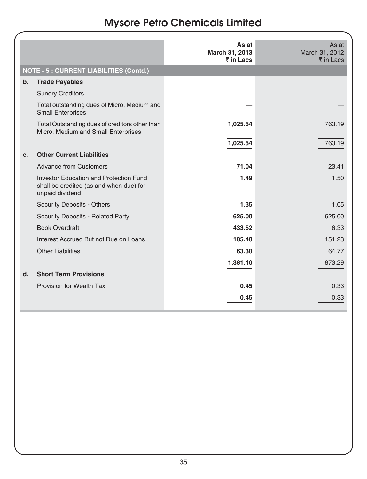|    |                                                                                                             | As at<br>March 31, 2013<br>₹ in Lacs | As at<br>March 31, 2012<br>₹ in Lacs |
|----|-------------------------------------------------------------------------------------------------------------|--------------------------------------|--------------------------------------|
|    | <b>NOTE - 5 : CURRENT LIABILITIES (Contd.)</b>                                                              |                                      |                                      |
| b. | <b>Trade Payables</b>                                                                                       |                                      |                                      |
|    | <b>Sundry Creditors</b>                                                                                     |                                      |                                      |
|    | Total outstanding dues of Micro, Medium and<br><b>Small Enterprises</b>                                     |                                      |                                      |
|    | Total Outstanding dues of creditors other than<br>Micro, Medium and Small Enterprises                       | 1,025.54                             | 763.19                               |
|    |                                                                                                             | 1,025.54                             | 763.19                               |
| c. | <b>Other Current Liabilities</b>                                                                            |                                      |                                      |
|    | <b>Advance from Customers</b>                                                                               | 71.04                                | 23.41                                |
|    | <b>Investor Education and Protection Fund</b><br>shall be credited (as and when due) for<br>unpaid dividend | 1.49                                 | 1.50                                 |
|    | <b>Security Deposits - Others</b>                                                                           | 1.35                                 | 1.05                                 |
|    | <b>Security Deposits - Related Party</b>                                                                    | 625.00                               | 625.00                               |
|    | <b>Book Overdraft</b>                                                                                       | 433.52                               | 6.33                                 |
|    | Interest Accrued But not Due on Loans                                                                       | 185.40                               | 151.23                               |
|    | <b>Other Liabilities</b>                                                                                    | 63.30                                | 64.77                                |
|    |                                                                                                             | 1,381.10                             | 873.29                               |
| d. | <b>Short Term Provisions</b>                                                                                |                                      |                                      |
|    | Provision for Wealth Tax                                                                                    | 0.45                                 | 0.33                                 |
|    |                                                                                                             | 0.45                                 | 0.33                                 |
|    |                                                                                                             |                                      |                                      |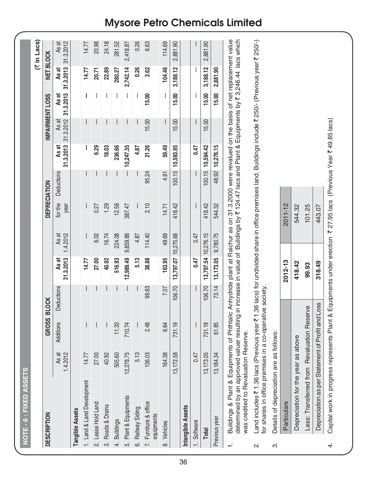|                          | NOTE - 6 : FIXED AS                                                                                           | <b>SETS</b>                     |              |                                                                                                                                                                                                                                                          |                     |                   |                 |            |                    |                    |                    |                    |                    |
|--------------------------|---------------------------------------------------------------------------------------------------------------|---------------------------------|--------------|----------------------------------------------------------------------------------------------------------------------------------------------------------------------------------------------------------------------------------------------------------|---------------------|-------------------|-----------------|------------|--------------------|--------------------|--------------------|--------------------|--------------------|
|                          |                                                                                                               |                                 |              |                                                                                                                                                                                                                                                          |                     |                   |                 |            |                    |                    |                    |                    | (₹ in Lacs)        |
|                          | <b>DESCRIPTION</b>                                                                                            |                                 | GROSS BLOCK  |                                                                                                                                                                                                                                                          |                     |                   | DEPRECIATION    |            |                    | IMPAIRMENT LOSS    |                    | <b>NET BLOCK</b>   |                    |
|                          |                                                                                                               | 1.4.2012<br>As at               | Additions    | Deductions                                                                                                                                                                                                                                               | 31.3.2013<br>As at  | 1.4.2012<br>As at | for the<br>year | Deductions | 31.3.2013<br>As at | 31.3.2012<br>As at | 31.3.2013<br>As at | 31.3.2013<br>As at | As at<br>31.3.2012 |
|                          | Tangible Assets                                                                                               |                                 |              |                                                                                                                                                                                                                                                          |                     |                   |                 |            |                    |                    |                    |                    |                    |
|                          | 1. Land & Land Development                                                                                    | 14.77                           |              |                                                                                                                                                                                                                                                          | 14.77               |                   |                 |            | L                  |                    | I                  | 14.77              | 14.77              |
|                          | 2. Lease Hold Land                                                                                            | 27.00                           | I            |                                                                                                                                                                                                                                                          | 27.00               | 6.02              | 0.27            |            | 6.29               |                    | $\overline{1}$     | 20.71              | 20.98              |
|                          | 3. Roads & Drains                                                                                             | 40.92                           | $\mathsf{l}$ |                                                                                                                                                                                                                                                          | 40.92               | 16.74             | 1.29            |            | 18.03              |                    |                    | 22.89              | 24.18              |
|                          | 4. Buildings                                                                                                  | 505.60                          | 11.33        |                                                                                                                                                                                                                                                          | 516.93              | 224.08            | 12.58           |            | 236.66             |                    | L                  | 280.27             | 281.52             |
| ယ္                       | Plant & Equipments                                                                                            | 12,278.75                       | 710.74       |                                                                                                                                                                                                                                                          | 12,989.49           | 9,859.88          | 387.47          |            | 10,247.35          |                    | I                  | 2,742.14           | 2,418.87           |
|                          | 6. Railway Siding                                                                                             | 5.13                            |              |                                                                                                                                                                                                                                                          | 5.13                | 4.87              |                 |            | 4.87               |                    | L                  | 0.26               | 0.26               |
|                          | 7. Furniture & office<br>equipments                                                                           | 136.03                          | 2.48         | 99.63                                                                                                                                                                                                                                                    | 38.88               | 114.40            | 2.10            | 95.24      | 21.26              | 15.00              | 15.00              | 2.62               | 6.63               |
| $\infty$                 | Vehicles                                                                                                      | 164.38                          | 6.64         | 7.07                                                                                                                                                                                                                                                     | 163.95              | 49.69             | 14.71           | 4.91       | 59.49              |                    |                    | 104.46             | 114.69             |
|                          |                                                                                                               | 13, 172.58                      | 731.19       | 106.70                                                                                                                                                                                                                                                   | 13,797.07 10,275.68 |                   | 418.42          | 100.15     | 10,593.95          | 15.00              | 15.00              | 3,188.12           | 2,881.90           |
|                          | Intangible Assets                                                                                             |                                 |              |                                                                                                                                                                                                                                                          |                     |                   |                 |            |                    |                    |                    |                    |                    |
|                          | 1. Software                                                                                                   | 0.47                            |              |                                                                                                                                                                                                                                                          | <b>CF0</b>          | 0.47              |                 |            | <b>CF0</b>         |                    |                    |                    |                    |
|                          | Total                                                                                                         | 13,173.05                       | 731.19       | 106.70                                                                                                                                                                                                                                                   | 13,797.54 10,276.15 |                   | 418.42          |            | 100.15 10,594.42   | 15.00              | 15.00              | 3,188.12           | 2,881.90           |
|                          | Previous year                                                                                                 | 13, 184.34                      | 61.85        | 73.14                                                                                                                                                                                                                                                    | 13,173.05           | 9,780.75          | 544.32          |            | 48.92 10,276.15    |                    | 15.00              | 2,881.90           |                    |
|                          | was credited to Revaluation Reserve.<br>determined by an<br>Buildings & Plant                                 |                                 |              | & Equipments of Phthtalic Anhydride plant at Raichur as on 31.3.2000 were revalued on the basis of net replacement value<br>approved valuer resulting in increase in value of Buildings by ₹ 124.47 lacs and Plant & Equipments by ₹ 3,246.44 lacs which |                     |                   |                 |            |                    |                    |                    |                    |                    |
| $\overline{\mathcal{N}}$ | for shares in office premises in a co-operative society<br>Land includes ₹1                                   |                                 |              | .36 lacs (Previous year ₹ 1.36 lacs) for undivided share in office premises land. Buildings include ₹ 250/- (Previous year ₹ 250/-)                                                                                                                      |                     |                   |                 |            |                    |                    |                    |                    |                    |
| က                        | Details of depreciation are as follows:                                                                       |                                 |              |                                                                                                                                                                                                                                                          |                     |                   |                 |            |                    |                    |                    |                    |                    |
|                          | Particulars                                                                                                   |                                 |              |                                                                                                                                                                                                                                                          | 2012-13             |                   | $2011 - 12$     |            |                    |                    |                    |                    |                    |
|                          | Depreciation for the year as above                                                                            |                                 |              |                                                                                                                                                                                                                                                          | 418.42              |                   | 544.32          |            |                    |                    |                    |                    |                    |
|                          | Less: Transferred from Revaluation Reserve                                                                    |                                 |              |                                                                                                                                                                                                                                                          | 99.93               |                   | 101.25          |            |                    |                    |                    |                    |                    |
|                          | Depreciation as p                                                                                             | er Statement of Profit and Loss |              |                                                                                                                                                                                                                                                          | 318.49              |                   | 443.07          |            |                    |                    |                    |                    |                    |
| 4                        | Capital work in progress represents Plant & Equipments under erection ₹27.95 lacs (Previous Year ₹49.85 lacs) |                                 |              |                                                                                                                                                                                                                                                          |                     |                   |                 |            |                    |                    |                    |                    |                    |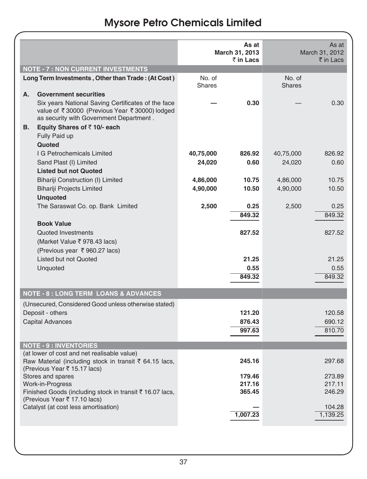| <b>NOTE - 7 : NON CURRENT INVESTMENTS</b>                                                |               | As at<br>March 31, 2013<br>₹ in Lacs |               | As at<br>March 31, 2012<br>$\bar{\tau}$ in Lacs |
|------------------------------------------------------------------------------------------|---------------|--------------------------------------|---------------|-------------------------------------------------|
| Long Term Investments, Other than Trade: (At Cost)                                       | No. of        |                                      | No. of        |                                                 |
|                                                                                          | <b>Shares</b> |                                      | <b>Shares</b> |                                                 |
| А.<br><b>Government securities</b><br>Six years National Saving Certificates of the face |               | 0.30                                 |               | 0.30                                            |
| value of ₹30000 (Previous Year ₹30000) lodged<br>as security with Government Department. |               |                                      |               |                                                 |
| Equity Shares of $\bar{z}$ 10/- each<br>В.                                               |               |                                      |               |                                                 |
| Fully Paid up                                                                            |               |                                      |               |                                                 |
| Quoted                                                                                   |               |                                      |               |                                                 |
| I G Petrochemicals Limited                                                               | 40,75,000     | 826.92                               | 40,75,000     | 826.92                                          |
| Sand Plast (I) Limited                                                                   | 24,020        | 0.60                                 | 24,020        | 0.60                                            |
| <b>Listed but not Quoted</b><br>Bihariji Construction (I) Limited                        | 4,86,000      | 10.75                                | 4,86,000      | 10.75                                           |
| <b>Bihariji Projects Limited</b>                                                         | 4,90,000      | 10.50                                | 4,90,000      | 10.50                                           |
| <b>Unquoted</b>                                                                          |               |                                      |               |                                                 |
| The Saraswat Co. op. Bank Limited                                                        | 2,500         | 0.25                                 | 2,500         | 0.25                                            |
|                                                                                          |               | 849.32                               |               | 849.32                                          |
| <b>Book Value</b>                                                                        |               |                                      |               |                                                 |
| Quoted Investments                                                                       |               | 827.52                               |               | 827.52                                          |
| (Market Value ₹ 978.43 lacs)                                                             |               |                                      |               |                                                 |
| (Previous year ₹960.27 lacs)                                                             |               |                                      |               |                                                 |
| Listed but not Quoted                                                                    |               | 21.25                                |               | 21.25                                           |
| Unquoted                                                                                 |               | 0.55                                 |               | 0.55                                            |
|                                                                                          |               | 849.32                               |               | 849.32                                          |
| <b>NOTE - 8 : LONG TERM LOANS &amp; ADVANCES</b>                                         |               |                                      |               |                                                 |
| (Unsecured, Considered Good unless otherwise stated)                                     |               |                                      |               |                                                 |
| Deposit - others                                                                         |               | 121.20                               |               | 120.58                                          |
| <b>Capital Advances</b>                                                                  |               | 876.43                               |               | 690.12                                          |
|                                                                                          |               | 997.63                               |               | 810.70                                          |
| <b>NOTE - 9 : INVENTORIES</b>                                                            |               |                                      |               |                                                 |
| (at lower of cost and net realisable value)                                              |               |                                      |               |                                                 |
| Raw Material (including stock in transit ₹ 64.15 lacs,<br>(Previous Year ₹ 15.17 lacs)   |               | 245.16                               |               | 297.68                                          |
| Stores and spares                                                                        |               | 179.46                               |               | 273.89                                          |
| Work-in-Progress                                                                         |               | 217.16                               |               | 217.11                                          |
| Finished Goods (including stock in transit ₹ 16.07 lacs,<br>(Previous Year ₹ 17.10 lacs) |               | 365.45                               |               | 246.29                                          |
| Catalyst (at cost less amortisation)                                                     |               |                                      |               | 104.28                                          |
|                                                                                          |               | 1,007.23                             |               | 1,139.25                                        |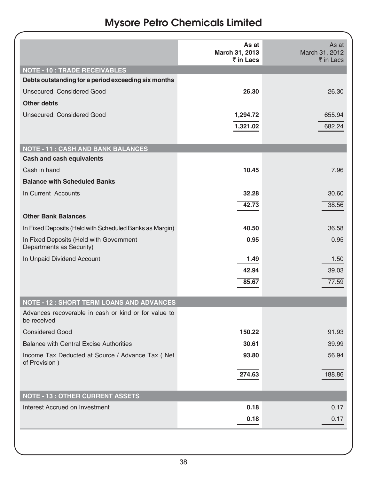|                                                                     | As at<br>March 31, 2013<br>₹ in Lacs | As at<br>March 31, 2012<br>₹ in Lacs |
|---------------------------------------------------------------------|--------------------------------------|--------------------------------------|
| <b>NOTE - 10 : TRADE RECEIVABLES</b>                                |                                      |                                      |
| Debts outstanding for a period exceeding six months                 |                                      |                                      |
| Unsecured, Considered Good                                          | 26.30                                | 26.30                                |
| Other debts                                                         |                                      |                                      |
| Unsecured, Considered Good                                          | 1,294.72                             | 655.94                               |
|                                                                     | 1,321.02                             | 682.24                               |
|                                                                     |                                      |                                      |
| <b>NOTE - 11: CASH AND BANK BALANCES</b>                            |                                      |                                      |
| Cash and cash equivalents                                           |                                      |                                      |
| Cash in hand                                                        | 10.45                                | 7.96                                 |
| <b>Balance with Scheduled Banks</b>                                 |                                      |                                      |
| In Current Accounts                                                 | 32.28                                | 30.60                                |
|                                                                     | 42.73                                | 38.56                                |
| <b>Other Bank Balances</b>                                          |                                      |                                      |
| In Fixed Deposits (Held with Scheduled Banks as Margin)             | 40.50                                | 36.58                                |
| In Fixed Deposits (Held with Government<br>Departments as Security) | 0.95                                 | 0.95                                 |
| In Unpaid Dividend Account                                          | 1.49                                 | 1.50                                 |
|                                                                     | 42.94                                | 39.03                                |
|                                                                     | 85.67                                | 77.59                                |
|                                                                     |                                      |                                      |
| <b>NOTE - 12 : SHORT TERM LOANS AND ADVANCES</b>                    |                                      |                                      |
| Advances recoverable in cash or kind or for value to<br>be received |                                      |                                      |
| <b>Considered Good</b>                                              | 150.22                               | 91.93                                |
| <b>Balance with Central Excise Authorities</b>                      | 30.61                                | 39.99                                |
| Income Tax Deducted at Source / Advance Tax ( Net<br>of Provision)  | 93.80                                | 56.94                                |
|                                                                     | 274.63                               | 188.86                               |
| <b>NOTE - 13 : OTHER CURRENT ASSETS</b>                             |                                      |                                      |
| Interest Accrued on Investment                                      | 0.18                                 | 0.17                                 |
|                                                                     | 0.18                                 | 0.17                                 |
|                                                                     |                                      |                                      |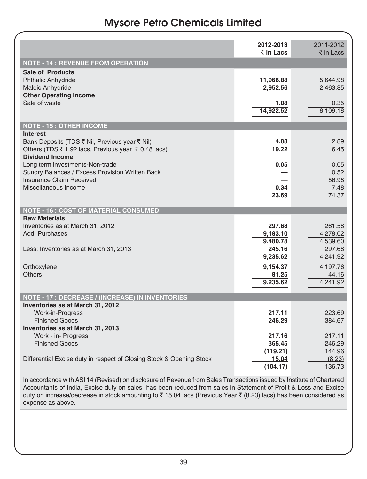|                                                                                                                                 | 2012-2013<br>₹ in Lacs | 2011-2012<br>$\bar{\bar{\tau}}$ in Lacs |
|---------------------------------------------------------------------------------------------------------------------------------|------------------------|-----------------------------------------|
| <b>NOTE - 14 : REVENUE FROM OPERATION</b>                                                                                       |                        |                                         |
| <b>Sale of Products</b><br><b>Phthalic Anhydride</b><br><b>Maleic Anhydride</b><br><b>Other Operating Income</b>                | 11,968.88<br>2,952.56  | 5,644.98<br>2,463.85                    |
| Sale of waste                                                                                                                   | 1.08<br>14,922.52      | 0.35<br>8,109.18                        |
|                                                                                                                                 |                        |                                         |
| <b>NOTE - 15 : OTHER INCOME</b><br><b>Interest</b>                                                                              |                        |                                         |
| Bank Deposits (TDS ₹ Nil, Previous year ₹ Nil)<br>Others (TDS ₹ 1.92 lacs, Previous year ₹ 0.48 lacs)<br><b>Dividend Income</b> | 4.08<br>19.22          | 2.89<br>6.45                            |
| Long term investments-Non-trade                                                                                                 | 0.05                   | 0.05                                    |
| Sundry Balances / Excess Provision Written Back                                                                                 |                        | 0.52                                    |
| <b>Insurance Claim Received</b>                                                                                                 |                        | 56.98                                   |
| Miscellaneous Income                                                                                                            | 0.34<br>23.69          | 7.48<br>74.37                           |
|                                                                                                                                 |                        |                                         |
|                                                                                                                                 |                        |                                         |
| <b>NOTE - 16 : COST OF MATERIAL CONSUMED</b>                                                                                    |                        |                                         |
| <b>Raw Materials</b>                                                                                                            |                        |                                         |
| Inventories as at March 31, 2012                                                                                                | 297.68                 | 261.58                                  |
| Add: Purchases                                                                                                                  | 9,183.10               | 4,278.02                                |
|                                                                                                                                 | 9,480.78               | 4,539.60                                |
| Less: Inventories as at March 31, 2013                                                                                          | 245.16                 | 297.68                                  |
|                                                                                                                                 | 9,235.62               | 4,241.92                                |
| Orthoxylene                                                                                                                     | 9,154.37               | 4,197.76                                |
| <b>Others</b>                                                                                                                   | 81.25<br>9.235.62      | 44.16<br>4,241.92                       |
|                                                                                                                                 |                        |                                         |
| <b>NOTE - 17 : DECREASE / (INCREASE) IN INVENTORIES</b>                                                                         |                        |                                         |
| Inventories as at March 31, 2012                                                                                                |                        |                                         |
| Work-in-Progress                                                                                                                | 217.11                 | 223.69                                  |
| <b>Finished Goods</b>                                                                                                           | 246.29                 | 384.67                                  |
| Inventories as at March 31, 2013<br>Work - in- Progress                                                                         | 217.16                 | 217.11                                  |
| <b>Finished Goods</b>                                                                                                           | 365.45                 | 246.29                                  |
|                                                                                                                                 | (119.21)               | 144.96                                  |
| Differential Excise duty in respect of Closing Stock & Opening Stock                                                            | 15.04<br>(104.17)      | (8.23)<br>136.73                        |

In accordance with ASI 14 (Revised) on disclosure of Revenue from Sales Transactions issued by Institute of Chartered Accountants of India, Excise duty on sales has been reduced from sales in Statement of Profit & Loss and Excise duty on increase/decrease in stock amounting to  $\bar{z}$  15.04 lacs (Previous Year  $\bar{z}$  (8.23) lacs) has been considered as expense as above.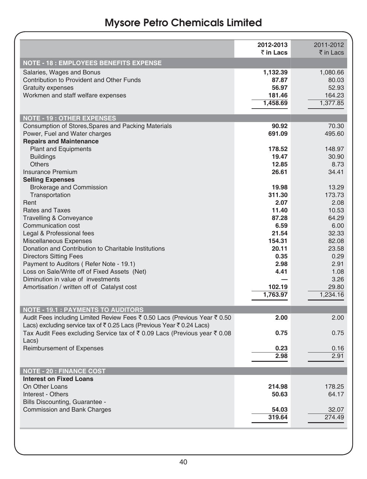|                                                                                                                                                                              | 2012-2013<br>₹ in Lacs                           | 2011-2012<br>₹ in Lacs                           |
|------------------------------------------------------------------------------------------------------------------------------------------------------------------------------|--------------------------------------------------|--------------------------------------------------|
| <b>NOTE - 18 : EMPLOYEES BENEFITS EXPENSE</b>                                                                                                                                |                                                  |                                                  |
| Salaries, Wages and Bonus<br>Contribution to Provident and Other Funds<br><b>Gratuity expenses</b><br>Workmen and staff welfare expenses                                     | 1,132.39<br>87.87<br>56.97<br>181.46<br>1,458.69 | 1,080.66<br>80.03<br>52.93<br>164.23<br>1,377.85 |
| <b>NOTE - 19: OTHER EXPENSES</b>                                                                                                                                             |                                                  |                                                  |
| Consumption of Stores, Spares and Packing Materials<br>Power, Fuel and Water charges<br><b>Repairs and Maintenance</b>                                                       | 90.92<br>691.09                                  | 70.30<br>495.60                                  |
| <b>Plant and Equipments</b><br><b>Buildings</b><br><b>Others</b><br><b>Insurance Premium</b>                                                                                 | 178.52<br>19.47<br>12.85<br>26.61                | 148.97<br>30.90<br>8.73<br>34.41                 |
| <b>Selling Expenses</b><br><b>Brokerage and Commission</b><br>Transportation<br>Rent<br><b>Rates and Taxes</b><br><b>Travelling &amp; Conveyance</b>                         | 19.98<br>311.30<br>2.07<br>11.40<br>87.28        | 13.29<br>173.73<br>2.08<br>10.53<br>64.29        |
| Communication cost<br>Legal & Professional fees<br>Miscellaneous Expenses<br>Donation and Contribution to Charitable Institutions<br><b>Directors Sitting Fees</b>           | 6.59<br>21.54<br>154.31<br>20.11<br>0.35         | 6.00<br>32.33<br>82.08<br>23.58<br>0.29          |
| Payment to Auditors (Refer Note - 19.1)<br>Loss on Sale/Write off of Fixed Assets (Net)<br>Diminution in value of investments<br>Amortisation / written off of Catalyst cost | 2.98<br>4.41<br>102.19                           | 2.91<br>1.08<br>3.26<br>29.80                    |
|                                                                                                                                                                              | 1,763.97                                         | 1,234.16                                         |
| <b>NOTE - 19.1 : PAYMENTS TO AUDITORS</b>                                                                                                                                    |                                                  |                                                  |
| Audit Fees including Limited Review Fees ₹ 0.50 Lacs (Previous Year ₹ 0.50<br>Lacs) excluding service tax of ₹0.25 Lacs (Previous Year ₹0.24 Lacs)                           | 2.00                                             | 2.00                                             |
| Tax Audit Fees excluding Service tax of ₹ 0.09 Lacs (Previous year ₹ 0.08<br>Lacs)                                                                                           | 0.75                                             | 0.75                                             |
| <b>Reimbursement of Expenses</b>                                                                                                                                             | 0.23<br>2.98                                     | 0.16<br>2.91                                     |
| <b>NOTE - 20 : FINANCE COST</b>                                                                                                                                              |                                                  |                                                  |
| <b>Interest on Fixed Loans</b><br>On Other Loans<br>Interest - Others<br>Bills Discounting, Guarantee -                                                                      | 214.98<br>50.63                                  | 178.25<br>64.17                                  |
| <b>Commission and Bank Charges</b>                                                                                                                                           | 54.03<br>319.64                                  | 32.07<br>274.49                                  |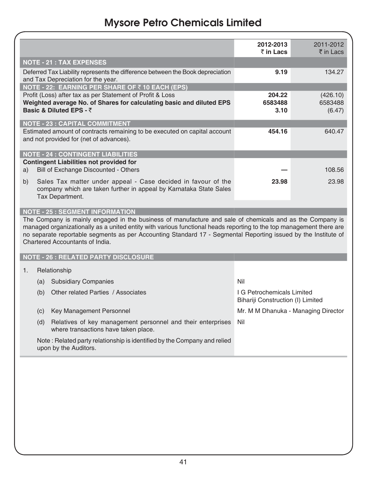|                                                                                                                                                                                                                                                                                                                                                                                      | 2012-2013<br>$\bar{z}$ in Lacs                                  | 2011-2012<br>$\bar{\tau}$ in Lacs   |
|--------------------------------------------------------------------------------------------------------------------------------------------------------------------------------------------------------------------------------------------------------------------------------------------------------------------------------------------------------------------------------------|-----------------------------------------------------------------|-------------------------------------|
| <b>NOTE - 21 : TAX EXPENSES</b>                                                                                                                                                                                                                                                                                                                                                      |                                                                 |                                     |
| Deferred Tax Liability represents the difference between the Book depreciation<br>and Tax Depreciation for the year.                                                                                                                                                                                                                                                                 | 9.19                                                            | 134.27                              |
| NOTE - 22: EARNING PER SHARE OF ₹10 EACH (EPS)                                                                                                                                                                                                                                                                                                                                       |                                                                 |                                     |
| Profit (Loss) after tax as per Statement of Profit & Loss<br>Weighted average No. of Shares for calculating basic and diluted EPS<br>Basic & Diluted EPS - ₹                                                                                                                                                                                                                         | 204.22<br>6583488<br>3.10                                       | (426.10)<br>6583488<br>(6.47)       |
| <b>NOTE - 23 : CAPITAL COMMITMENT</b>                                                                                                                                                                                                                                                                                                                                                |                                                                 |                                     |
| Estimated amount of contracts remaining to be executed on capital account<br>and not provided for (net of advances).                                                                                                                                                                                                                                                                 | 454.16                                                          | 640.47                              |
| <b>NOTE - 24 : CONTINGENT LIABILITIES</b>                                                                                                                                                                                                                                                                                                                                            |                                                                 |                                     |
| <b>Contingent Liabilities not provided for</b><br>Bill of Exchange Discounted - Others<br>a)                                                                                                                                                                                                                                                                                         |                                                                 | 108.56                              |
| b)<br>Sales Tax matter under appeal - Case decided in favour of the<br>company which are taken further in appeal by Karnataka State Sales<br>Tax Department.                                                                                                                                                                                                                         | 23.98                                                           | 23.98                               |
| <b>NOTE - 25 : SEGMENT INFORMATION</b>                                                                                                                                                                                                                                                                                                                                               |                                                                 |                                     |
| The Company is mainly engaged in the business of manufacture and sale of chemicals and as the Company is<br>managed organizationally as a united entity with various functional heads reporting to the top management there are<br>no separate reportable segments as per Accounting Standard 17 - Segmental Reporting issued by the Institute of<br>Chartered Accountants of India. |                                                                 |                                     |
| <b>NOTE - 26 : RELATED PARTY DISCLOSURE</b>                                                                                                                                                                                                                                                                                                                                          |                                                                 |                                     |
| 1.<br>Relationship                                                                                                                                                                                                                                                                                                                                                                   |                                                                 |                                     |
| <b>Subsidiary Companies</b><br>(a)                                                                                                                                                                                                                                                                                                                                                   | Nil                                                             |                                     |
| Other related Parties / Associates<br>(b)                                                                                                                                                                                                                                                                                                                                            | I G Petrochemicals Limited<br>Bihariji Construction (I) Limited |                                     |
| Key Management Personnel<br>(c)                                                                                                                                                                                                                                                                                                                                                      |                                                                 | Mr. M M Dhanuka - Managing Director |
| Relatives of key management personnel and their enterprises<br>(d)<br>where transactions have taken place.                                                                                                                                                                                                                                                                           | Nil                                                             |                                     |
| Note: Related party relationship is identified by the Company and relied<br>upon by the Auditors.                                                                                                                                                                                                                                                                                    |                                                                 |                                     |
|                                                                                                                                                                                                                                                                                                                                                                                      |                                                                 |                                     |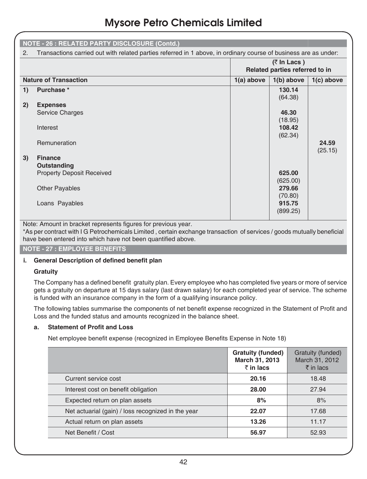|    | <b>NOTE - 26 : RELATED PARTY DISCLOSURE (Contd.)</b>                                                            |              |                                |              |
|----|-----------------------------------------------------------------------------------------------------------------|--------------|--------------------------------|--------------|
| 2. | Transactions carried out with related parties referred in 1 above, in ordinary course of business are as under: |              |                                |              |
|    |                                                                                                                 |              | $($ ₹ In Lacs)                 |              |
|    |                                                                                                                 |              | Related parties referred to in |              |
|    | <b>Nature of Transaction</b>                                                                                    | $1(a)$ above | $1(b)$ above                   | $1(c)$ above |
| 1) | Purchase *                                                                                                      |              | 130.14                         |              |
|    |                                                                                                                 |              | (64.38)                        |              |
| 2) | <b>Expenses</b>                                                                                                 |              |                                |              |
|    | <b>Service Charges</b>                                                                                          |              | 46.30                          |              |
|    |                                                                                                                 |              | (18.95)                        |              |
|    | Interest                                                                                                        |              | 108.42                         |              |
|    |                                                                                                                 |              | (62.34)                        |              |
|    | Remuneration                                                                                                    |              |                                | 24.59        |
|    |                                                                                                                 |              |                                | (25.15)      |
| 3) | <b>Finance</b>                                                                                                  |              |                                |              |
|    |                                                                                                                 |              |                                |              |
|    | Outstanding                                                                                                     |              |                                |              |
|    | <b>Property Deposit Received</b>                                                                                |              | 625.00                         |              |
|    |                                                                                                                 |              | (625.00)                       |              |
|    | <b>Other Payables</b>                                                                                           |              | 279.66                         |              |
|    |                                                                                                                 |              | (70.80)                        |              |
|    | Loans Payables                                                                                                  |              | 915.75                         |              |
|    |                                                                                                                 |              | (899.25)                       |              |
|    |                                                                                                                 |              |                                |              |
|    | Note: Amount in brooket represente flaures for provisue year                                                    |              |                                |              |

Note: Amount in bracket represents figures for previous year.

\*As per contract with I G Petrochemicals Limited , certain exchange transaction of services / goods mutually beneficial have been entered into which have not been quantified above.

**NOTE - 27 : EMPLOYEE BENEFITS**

#### **i. General Description of defined benefit plan**

#### **Gratuity**

The Company has a defined benefit gratuity plan. Every employee who has completed five years or more of service gets a gratuity on departure at 15 days salary (last drawn salary) for each completed year of service. The scheme is funded with an insurance company in the form of a qualifying insurance policy.

The following tables summarise the components of net benefit expense recognized in the Statement of Profit and Loss and the funded status and amounts recognized in the balance sheet.

#### **a. Statement of Profit and Loss**

Net employee benefit expense (recognized in Employee Benefits Expense in Note 18)

|                                                    | <b>Gratuity (funded)</b><br>March 31, 2013<br>$\bar{z}$ in lacs | Gratuity (funded)<br>March 31, 2012<br>$\bar{\tau}$ in lacs |
|----------------------------------------------------|-----------------------------------------------------------------|-------------------------------------------------------------|
| Current service cost                               | 20.16                                                           | 18.48                                                       |
| Interest cost on benefit obligation                | 28.00                                                           | 27.94                                                       |
| Expected return on plan assets                     | 8%                                                              | 8%                                                          |
| Net actuarial (gain) / loss recognized in the year | 22.07                                                           | 17.68                                                       |
| Actual return on plan assets                       | 13.26                                                           | 11.17                                                       |
| Net Benefit / Cost                                 | 56.97                                                           | 52.93                                                       |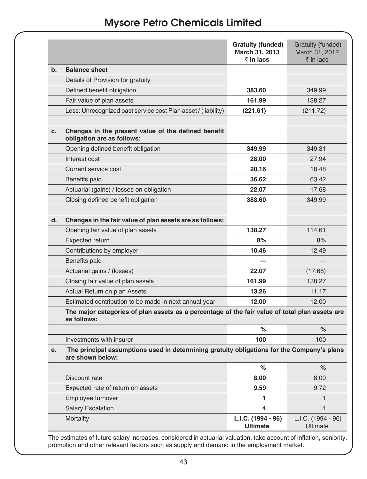|    |                                                                                                                | Gratuity (funded)<br>March 31, 2013<br>$\bar{z}$ in lacs | Gratuity (funded)<br>March 31, 2012<br>$\bar{\bar{\tau}}$ in lacs |
|----|----------------------------------------------------------------------------------------------------------------|----------------------------------------------------------|-------------------------------------------------------------------|
| b. | <b>Balance sheet</b>                                                                                           |                                                          |                                                                   |
|    | Details of Provision for gratuity                                                                              |                                                          |                                                                   |
|    | Defined benefit obligation                                                                                     | 383.60                                                   | 349.99                                                            |
|    | Fair value of plan assets                                                                                      | 161.99                                                   | 138.27                                                            |
|    | Less: Unrecognized past service cost Plan asset / (liability)                                                  | (221.61)                                                 | (211.72)                                                          |
|    |                                                                                                                |                                                          |                                                                   |
| c. | Changes in the present value of the defined benefit<br>obligation are as follows:                              |                                                          |                                                                   |
|    | Opening defined benefit obligation                                                                             | 349.99                                                   | 349.31                                                            |
|    | Interest cost                                                                                                  | 28.00                                                    | 27.94                                                             |
|    | Current service cost                                                                                           | 20.16                                                    | 18.48                                                             |
|    | Benefits paid                                                                                                  | 36.62                                                    | 63.42                                                             |
|    | Actuarial (gains) / losses on obligation                                                                       | 22.07                                                    | 17.68                                                             |
|    | Closing defined benefit obligation                                                                             | 383.60                                                   | 349.99                                                            |
|    |                                                                                                                |                                                          |                                                                   |
| d. | Changes in the fair value of plan assets are as follows:                                                       |                                                          |                                                                   |
|    | Opening fair value of plan assets                                                                              | 138.27                                                   | 114.61                                                            |
|    | Expected return                                                                                                | 8%                                                       | 8%                                                                |
|    | Contributions by employer                                                                                      | 10.46                                                    | 12.49                                                             |
|    | Benefits paid                                                                                                  |                                                          |                                                                   |
|    | Actuarial gains / (losses)                                                                                     | 22.07                                                    | (17.68)                                                           |
|    | Closing fair value of plan assets                                                                              | 161.99                                                   | 138.27                                                            |
|    | Actual Return on plan Assets                                                                                   | 13.26                                                    | 11.17                                                             |
|    | Estimated contribution to be made in next annual year                                                          | 12.00                                                    | 12.00                                                             |
|    | The major categories of plan assets as a percentage of the fair value of total plan assets are<br>as follows:  |                                                          |                                                                   |
|    |                                                                                                                | $\%$                                                     | $\%$                                                              |
|    | Investments with insurer                                                                                       | 100                                                      | 100                                                               |
| e. | The principal assumptions used in determining gratuity obligations for the Company's plans<br>are shown below: |                                                          |                                                                   |
|    |                                                                                                                | $\frac{1}{2}$                                            | $\frac{1}{\sqrt{2}}$                                              |
|    | Discount rate                                                                                                  | 8.00                                                     | 8.00                                                              |
|    | Expected rate of return on assets                                                                              | 9.59                                                     | 9.72                                                              |
|    | Employee turnover                                                                                              | 1                                                        | 1                                                                 |
|    | <b>Salary Escalation</b>                                                                                       | 4                                                        | $\overline{4}$                                                    |
|    | Mortality                                                                                                      | L.I.C. (1994 - 96)<br><b>Ultimate</b>                    | L.I.C. (1994 - 96)<br>Ultimate                                    |

The estimates of future salary increases, considered in actuarial valuation, take account of inflation, seniority, promotion and other relevant factors such as supply and demand in the employment market.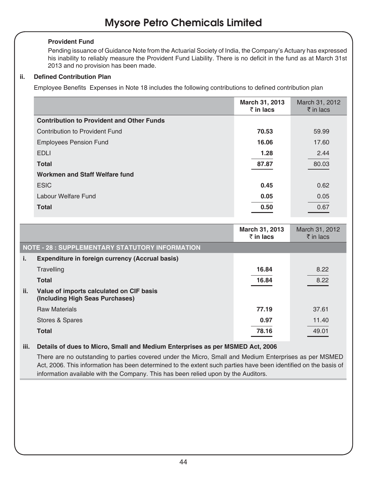#### **Provident Fund**

Pending issuance of Guidance Note from the Actuarial Society of India, the Company's Actuary has expressed his inability to reliably measure the Provident Fund Liability. There is no deficit in the fund as at March 31st 2013 and no provision has been made.

#### **ii. Defined Contribution Plan**

Employee Benefits Expenses in Note 18 includes the following contributions to defined contribution plan

|                                                  | March 31, 2013<br>$\bar{z}$ in lacs | March 31, 2012<br>$\bar{\tau}$ in lacs |
|--------------------------------------------------|-------------------------------------|----------------------------------------|
| <b>Contribution to Provident and Other Funds</b> |                                     |                                        |
| Contribution to Provident Fund                   | 70.53                               | 59.99                                  |
| <b>Employees Pension Fund</b>                    | 16.06                               | 17.60                                  |
| FDI I                                            | 1.28                                | 2.44                                   |
| <b>Total</b>                                     | 87.87                               | 80.03                                  |
| Workmen and Staff Welfare fund                   |                                     |                                        |
| <b>ESIC</b>                                      | 0.45                                | 0.62                                   |
| Labour Welfare Fund                              | 0.05                                | 0.05                                   |
| <b>Total</b>                                     | 0.50                                | 0.67                                   |

|     |                                                                             | March 31, 2013<br>$\bar{z}$ in lacs | March 31, 2012<br>$\bar{\bar{\tau}}$ in lacs |
|-----|-----------------------------------------------------------------------------|-------------------------------------|----------------------------------------------|
|     | <b>NOTE - 28 : SUPPLEMENTARY STATUTORY INFORMATION</b>                      |                                     |                                              |
| i.  | Expenditure in foreign currency (Accrual basis)                             |                                     |                                              |
|     | Travelling                                                                  | 16.84                               | 8.22                                         |
|     | <b>Total</b>                                                                | 16.84                               | 8.22                                         |
| ii. | Value of imports calculated on CIF basis<br>(Including High Seas Purchases) |                                     |                                              |
|     | <b>Raw Materials</b>                                                        | 77.19                               | 37.61                                        |
|     | Stores & Spares                                                             | 0.97                                | 11.40                                        |
|     | <b>Total</b>                                                                | 78.16                               | 49.01                                        |

#### **iii. Details of dues to Micro, Small and Medium Enterprises as per MSMED Act, 2006**

There are no outstanding to parties covered under the Micro, Small and Medium Enterprises as per MSMED Act, 2006. This information has been determined to the extent such parties have been identified on the basis of information available with the Company. This has been relied upon by the Auditors.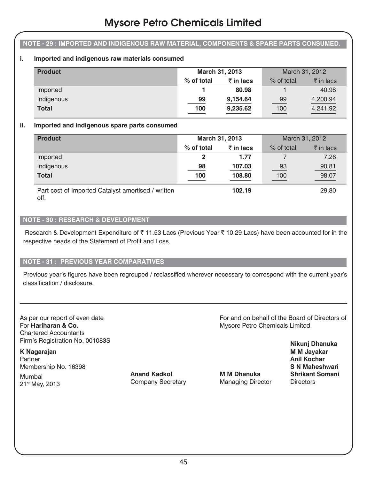#### **NOTE - 29 : IMPORTED AND INDIGENOUS RAW MATERIAL, COMPONENTS & SPARE PARTS CONSUMED.**

#### **i. Imported and indigenous raw materials consumed**

| <b>Product</b> | March 31, 2013 |                      |            |                            |  | March 31, 2012 |
|----------------|----------------|----------------------|------------|----------------------------|--|----------------|
|                | $%$ of total   | $\bar{\tau}$ in lacs | % of total | $\bar{\bar{\tau}}$ in lacs |  |                |
| Imported       |                | 80.98                |            | 40.98                      |  |                |
| Indigenous     | 99             | 9,154.64             | 99         | 4,200.94                   |  |                |
| <b>Total</b>   | 100            | 9,235.62             | 100        | 4,241.92                   |  |                |

#### **ii. Imported and indigenous spare parts consumed**

| <b>Product</b>                                             | March 31, 2013 |                   | March 31, 2012 |                      |
|------------------------------------------------------------|----------------|-------------------|----------------|----------------------|
|                                                            | % of total     | $\bar{z}$ in lacs | % of total     | $\bar{\tau}$ in lacs |
| Imported                                                   | 2              | 1.77              |                | 7.26                 |
| Indigenous                                                 | 98             | 107.03            | 93             | 90.81                |
| <b>Total</b>                                               | 100            | 108.80            | 100            | 98.07                |
| Part cost of Imported Catalyst amortised / written<br>off. |                | 102.19            |                | 29.80                |

#### **NOTE - 30 : RESEARCH & DEVELOPMENT**

Research & Development Expenditure of ₹11.53 Lacs (Previous Year ₹10.29 Lacs) have been accounted for in the respective heads of the Statement of Profit and Loss.

#### **NOTE - 31 : PREVIOUS YEAR COMPARATIVES**

Previous year's figures have been regrouped / reclassified wherever necessary to correspond with the current year's classification / disclosure.

Chartered Accountants Firm's Registration No. 001083S **Nikunj Dhanuka**

**K Nagarajan M M Jayakar** Partner **Anil Kochar**

Mumbai **Anand Kadkol M M Dhanuka Shrikant Somani** nambar<br>21<sup>st</sup> May, 2013 **Company Secretary** Managing Director Directors

As per our report of even date<br>For **Hariharan & Co.**<br>For **Hariharan & Co.** Social property and Directors of Mysore Petro Chemicals Limited **Mysore Petro Chemicals Limited** 

Membership No. 16398 **S N Maheshwari**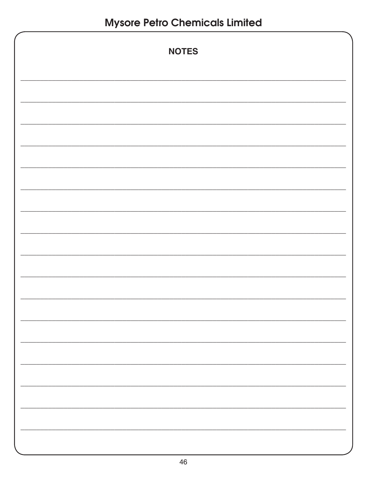| <b>NOTES</b> |
|--------------|
|              |
|              |
|              |
|              |
|              |
|              |
|              |
|              |
|              |
|              |
|              |
|              |
|              |
|              |
|              |
|              |
|              |
|              |
|              |
|              |
|              |
|              |
|              |
|              |
|              |
|              |
|              |
|              |
|              |
|              |
|              |
|              |
|              |
|              |
|              |
|              |
|              |
|              |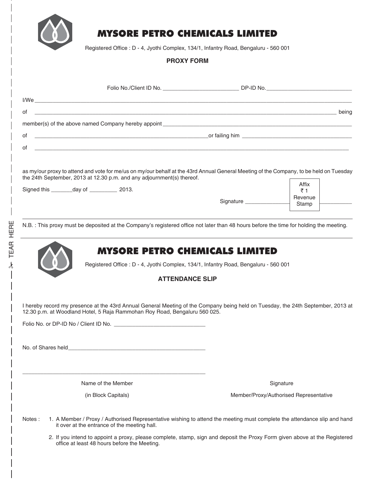

).<br>ak

TEAR HERE

**TEAR HERE** 

 $\overline{\phantom{a}}$ 

### MYSORE PETRO CHEMICALS LIMITED

Registered Office : D - 4, Jyothi Complex, 134/1, Infantry Road, Bengaluru - 560 001

#### **PROXY FORM**

|    | Folio No./Client ID No. 6. [2010] DP-ID No.                                                                                                                                                                                                                                    |           |                  |
|----|--------------------------------------------------------------------------------------------------------------------------------------------------------------------------------------------------------------------------------------------------------------------------------|-----------|------------------|
|    |                                                                                                                                                                                                                                                                                |           |                  |
| of | the contract of the contract of the contract of the contract of the contract of the contract of the contract of the contract of the contract of the contract of the contract of the contract of the contract of the contract o                                                 |           |                  |
|    | member(s) of the above named Company hereby appoint example and the state of the state of the state of the state of the state of the state of the state of the state of the state of the state of the state of the state of th                                                 |           |                  |
| of | $\sim$ or failing him $\sim$ and $\sim$ and $\sim$ and $\sim$ and $\sim$ and $\sim$ and $\sim$ and $\sim$ and $\sim$ and $\sim$ and $\sim$ and $\sim$ and $\sim$ and $\sim$ and $\sim$ and $\sim$ and $\sim$ and $\sim$ and $\sim$ and $\sim$ and $\sim$ and $\sim$ and $\sim$ |           |                  |
| of | <u> 1990 - Jan James James Barnett, amerikan berlindar (</u>                                                                                                                                                                                                                   |           |                  |
|    | as my/our proxy to attend and vote for me/us on my/our behalf at the 43rd Annual General Meeting of the Company, to be held on Tuesday<br>the 24th September, 2013 at 12.30 p.m. and any adjournment(s) thereof.<br>Signed this _______ day of ___________ 2013.               |           | Affix<br>₹1      |
|    |                                                                                                                                                                                                                                                                                | Signature | Revenue<br>Stamp |
|    | N.B.: This proxy must be deposited at the Company's registered office not later than 48 hours before the time for holding the meeting.<br><b>MYSORE PETRO CHEMICALS LIMITED</b>                                                                                                |           |                  |
|    | Registered Office : D - 4, Jyothi Complex, 134/1, Infantry Road, Bengaluru - 560 001                                                                                                                                                                                           |           |                  |
|    | <b>ATTENDANCE SLIP</b>                                                                                                                                                                                                                                                         |           |                  |
|    | I hereby record my presence at the 43rd Annual General Meeting of the Company being held on Tuesday, the 24th September, 2013 at<br>12.30 p.m. at Woodland Hotel, 5 Raja Rammohan Roy Road, Bengaluru 560 025.                                                                 |           |                  |
|    |                                                                                                                                                                                                                                                                                |           |                  |
|    | No. of Shares held and the state of the state of the state of the state of the state of the state of the state of the state of the state of the state of the state of the state of the state of the state of the state of the                                                  |           |                  |
|    |                                                                                                                                                                                                                                                                                |           |                  |

Name of the Member Signature Signature Signature Signature

\_\_\_\_\_\_\_\_\_\_\_\_\_\_\_\_\_\_\_\_\_\_\_\_\_\_\_\_\_\_\_\_\_\_\_\_\_\_\_\_\_\_\_\_\_\_\_\_\_\_\_\_\_\_\_\_\_\_\_\_

(in Block Capitals) Member/Proxy/Authorised Representative

- Notes : 1. A Member / Proxy / Authorised Representative wishing to attend the meeting must complete the attendance slip and hand it over at the entrance of the meeting hall.
	- 2. If you intend to appoint a proxy, please complete, stamp, sign and deposit the Proxy Form given above at the Registered office at least 48 hours before the Meeting.